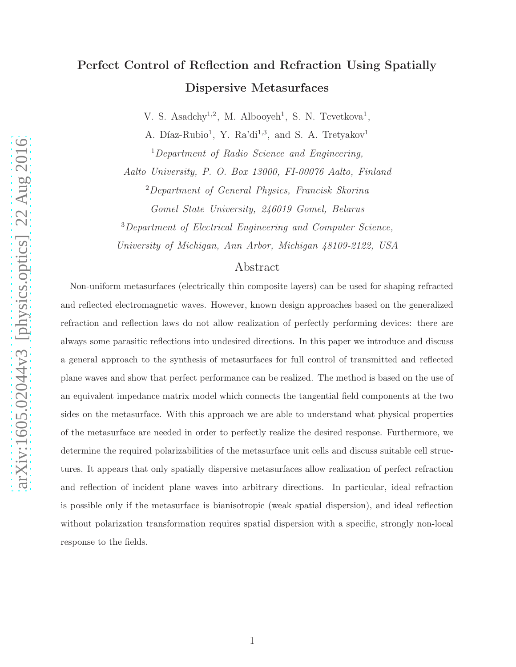# Perfect Control of Reflection and Refraction Using Spatially Dispersive Metasurfaces

V. S. Asadchy<sup>1,2</sup>, M. Albooyeh<sup>1</sup>, S. N. Tcvetkova<sup>1</sup>,

A. Díaz-Rubio<sup>1</sup>, Y. Ra'di<sup>1,3</sup>, and S. A. Tretyakov<sup>1</sup>

<sup>1</sup>Department of Radio Science and Engineering, Aalto University, P. O. Box 13000, FI-00076 Aalto, Finland

<sup>2</sup>Department of General Physics, Francisk Skorina

Gomel State University, 246019 Gomel, Belarus

<sup>3</sup>Department of Electrical Engineering and Computer Science,

University of Michigan, Ann Arbor, Michigan 48109-2122, USA

### Abstract

Non-uniform metasurfaces (electrically thin composite layers) can be used for shaping refracted and reflected electromagnetic waves. However, known design approaches based on the generalized refraction and reflection laws do not allow realization of perfectly performing devices: there are always some parasitic reflections into undesired directions. In this paper we introduce and discuss a general approach to the synthesis of metasurfaces for full control of transmitted and reflected plane waves and show that perfect performance can be realized. The method is based on the use of an equivalent impedance matrix model which connects the tangential field components at the two sides on the metasurface. With this approach we are able to understand what physical properties of the metasurface are needed in order to perfectly realize the desired response. Furthermore, we determine the required polarizabilities of the metasurface unit cells and discuss suitable cell structures. It appears that only spatially dispersive metasurfaces allow realization of perfect refraction and reflection of incident plane waves into arbitrary directions. In particular, ideal refraction is possible only if the metasurface is bianisotropic (weak spatial dispersion), and ideal reflection without polarization transformation requires spatial dispersion with a specific, strongly non-local response to the fields.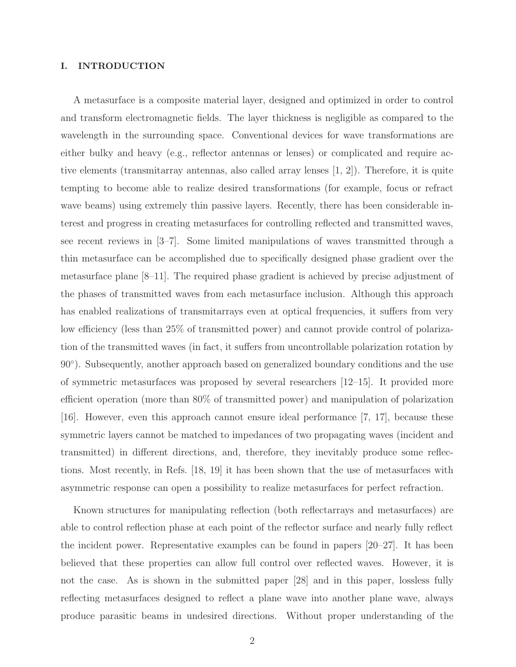### I. INTRODUCTION

A metasurface is a composite material layer, designed and optimized in order to control and transform electromagnetic fields. The layer thickness is negligible as compared to the wavelength in the surrounding space. Conventional devices for wave transformations are either bulky and heavy (e.g., reflector antennas or lenses) or complicated and require active elements (transmitarray antennas, also called array lenses [1, 2]). Therefore, it is quite tempting to become able to realize desired transformations (for example, focus or refract wave beams) using extremely thin passive layers. Recently, there has been considerable interest and progress in creating metasurfaces for controlling reflected and transmitted waves, see recent reviews in [3–7]. Some limited manipulations of waves transmitted through a thin metasurface can be accomplished due to specifically designed phase gradient over the metasurface plane [8–11]. The required phase gradient is achieved by precise adjustment of the phases of transmitted waves from each metasurface inclusion. Although this approach has enabled realizations of transmitarrays even at optical frequencies, it suffers from very low efficiency (less than 25% of transmitted power) and cannot provide control of polarization of the transmitted waves (in fact, it suffers from uncontrollable polarization rotation by 90◦ ). Subsequently, another approach based on generalized boundary conditions and the use of symmetric metasurfaces was proposed by several researchers [12–15]. It provided more efficient operation (more than 80% of transmitted power) and manipulation of polarization [16]. However, even this approach cannot ensure ideal performance [7, 17], because these symmetric layers cannot be matched to impedances of two propagating waves (incident and transmitted) in different directions, and, therefore, they inevitably produce some reflections. Most recently, in Refs. [18, 19] it has been shown that the use of metasurfaces with asymmetric response can open a possibility to realize metasurfaces for perfect refraction.

Known structures for manipulating reflection (both reflectarrays and metasurfaces) are able to control reflection phase at each point of the reflector surface and nearly fully reflect the incident power. Representative examples can be found in papers [20–27]. It has been believed that these properties can allow full control over reflected waves. However, it is not the case. As is shown in the submitted paper [28] and in this paper, lossless fully reflecting metasurfaces designed to reflect a plane wave into another plane wave, always produce parasitic beams in undesired directions. Without proper understanding of the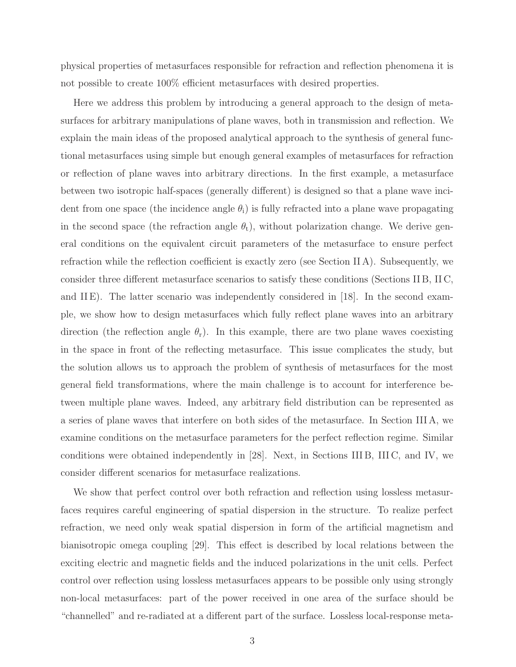physical properties of metasurfaces responsible for refraction and reflection phenomena it is not possible to create 100% efficient metasurfaces with desired properties.

Here we address this problem by introducing a general approach to the design of metasurfaces for arbitrary manipulations of plane waves, both in transmission and reflection. We explain the main ideas of the proposed analytical approach to the synthesis of general functional metasurfaces using simple but enough general examples of metasurfaces for refraction or reflection of plane waves into arbitrary directions. In the first example, a metasurface between two isotropic half-spaces (generally different) is designed so that a plane wave incident from one space (the incidence angle  $\theta_i$ ) is fully refracted into a plane wave propagating in the second space (the refraction angle  $\theta_t$ ), without polarization change. We derive general conditions on the equivalent circuit parameters of the metasurface to ensure perfect refraction while the reflection coefficient is exactly zero (see Section II A). Subsequently, we consider three different metasurface scenarios to satisfy these conditions (Sections II B, II C, and IIE). The latter scenario was independently considered in [18]. In the second example, we show how to design metasurfaces which fully reflect plane waves into an arbitrary direction (the reflection angle  $\theta_r$ ). In this example, there are two plane waves coexisting in the space in front of the reflecting metasurface. This issue complicates the study, but the solution allows us to approach the problem of synthesis of metasurfaces for the most general field transformations, where the main challenge is to account for interference between multiple plane waves. Indeed, any arbitrary field distribution can be represented as a series of plane waves that interfere on both sides of the metasurface. In Section III A, we examine conditions on the metasurface parameters for the perfect reflection regime. Similar conditions were obtained independently in [28]. Next, in Sections III B, III C, and IV, we consider different scenarios for metasurface realizations.

We show that perfect control over both refraction and reflection using lossless metasurfaces requires careful engineering of spatial dispersion in the structure. To realize perfect refraction, we need only weak spatial dispersion in form of the artificial magnetism and bianisotropic omega coupling [29]. This effect is described by local relations between the exciting electric and magnetic fields and the induced polarizations in the unit cells. Perfect control over reflection using lossless metasurfaces appears to be possible only using strongly non-local metasurfaces: part of the power received in one area of the surface should be "channelled" and re-radiated at a different part of the surface. Lossless local-response meta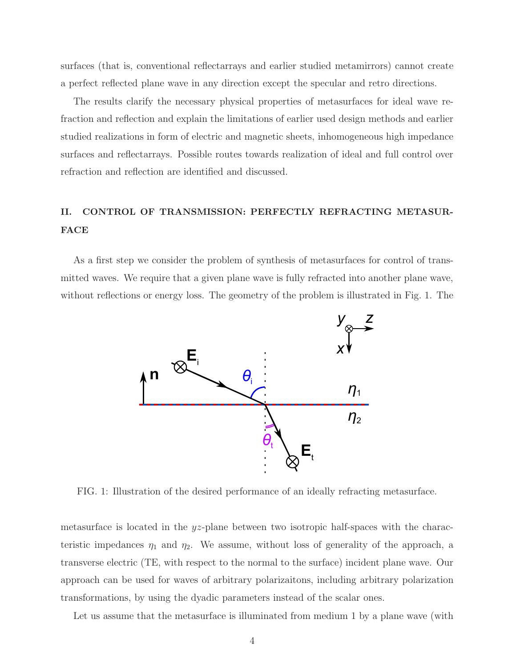surfaces (that is, conventional reflectarrays and earlier studied metamirrors) cannot create a perfect reflected plane wave in any direction except the specular and retro directions.

The results clarify the necessary physical properties of metasurfaces for ideal wave refraction and reflection and explain the limitations of earlier used design methods and earlier studied realizations in form of electric and magnetic sheets, inhomogeneous high impedance surfaces and reflectarrays. Possible routes towards realization of ideal and full control over refraction and reflection are identified and discussed.

## II. CONTROL OF TRANSMISSION: PERFECTLY REFRACTING METASUR-FACE

As a first step we consider the problem of synthesis of metasurfaces for control of transmitted waves. We require that a given plane wave is fully refracted into another plane wave, without reflections or energy loss. The geometry of the problem is illustrated in Fig. 1. The



FIG. 1: Illustration of the desired performance of an ideally refracting metasurface.

metasurface is located in the  $yz$ -plane between two isotropic half-spaces with the characteristic impedances  $\eta_1$  and  $\eta_2$ . We assume, without loss of generality of the approach, a transverse electric (TE, with respect to the normal to the surface) incident plane wave. Our approach can be used for waves of arbitrary polarizaitons, including arbitrary polarization transformations, by using the dyadic parameters instead of the scalar ones.

Let us assume that the metasurface is illuminated from medium 1 by a plane wave (with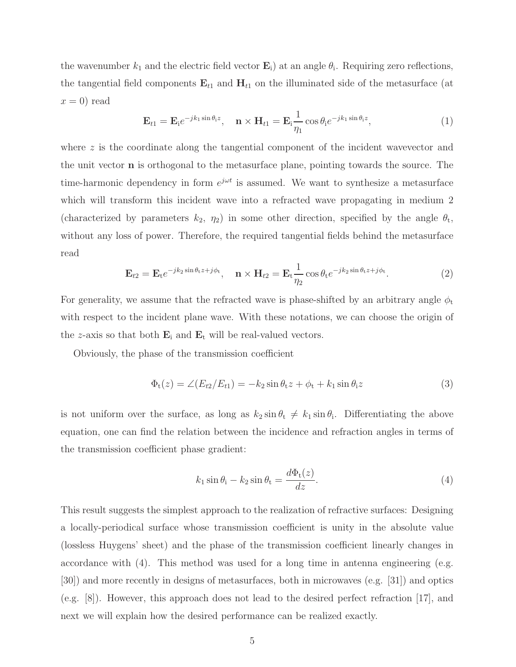the wavenumber  $k_1$  and the electric field vector  $\mathbf{E}_i$ ) at an angle  $\theta_i$ . Requiring zero reflections, the tangential field components  $E_{t1}$  and  $H_{t1}$  on the illuminated side of the metasurface (at  $x = 0$ ) read

$$
\mathbf{E}_{t1} = \mathbf{E}_{i} e^{-jk_1 \sin \theta_i z}, \quad \mathbf{n} \times \mathbf{H}_{t1} = \mathbf{E}_{i} \frac{1}{\eta_1} \cos \theta_i e^{-jk_1 \sin \theta_i z}, \tag{1}
$$

where z is the coordinate along the tangential component of the incident wavevector and the unit vector n is orthogonal to the metasurface plane, pointing towards the source. The time-harmonic dependency in form  $e^{j\omega t}$  is assumed. We want to synthesize a metasurface which will transform this incident wave into a refracted wave propagating in medium 2 (characterized by parameters  $k_2$ ,  $\eta_2$ ) in some other direction, specified by the angle  $\theta_t$ , without any loss of power. Therefore, the required tangential fields behind the metasurface read

$$
\mathbf{E}_{t2} = \mathbf{E}_t e^{-jk_2 \sin \theta_t z + j\phi_t}, \quad \mathbf{n} \times \mathbf{H}_{t2} = \mathbf{E}_t \frac{1}{\eta_2} \cos \theta_t e^{-jk_2 \sin \theta_t z + j\phi_t}.
$$
 (2)

For generality, we assume that the refracted wave is phase-shifted by an arbitrary angle  $\phi_t$ with respect to the incident plane wave. With these notations, we can choose the origin of the z-axis so that both  $\mathbf{E}_i$  and  $\mathbf{E}_t$  will be real-valued vectors.

Obviously, the phase of the transmission coefficient

$$
\Phi_{t}(z) = \angle (E_{t2}/E_{t1}) = -k_2 \sin \theta_{t} z + \phi_{t} + k_1 \sin \theta_{i} z \tag{3}
$$

is not uniform over the surface, as long as  $k_2 \sin \theta_t \neq k_1 \sin \theta_i$ . Differentiating the above equation, one can find the relation between the incidence and refraction angles in terms of the transmission coefficient phase gradient:

$$
k_1 \sin \theta_i - k_2 \sin \theta_t = \frac{d\Phi_t(z)}{dz}.
$$
\n(4)

This result suggests the simplest approach to the realization of refractive surfaces: Designing a locally-periodical surface whose transmission coefficient is unity in the absolute value (lossless Huygens' sheet) and the phase of the transmission coefficient linearly changes in accordance with (4). This method was used for a long time in antenna engineering (e.g. [30]) and more recently in designs of metasurfaces, both in microwaves (e.g. [31]) and optics (e.g. [8]). However, this approach does not lead to the desired perfect refraction [17], and next we will explain how the desired performance can be realized exactly.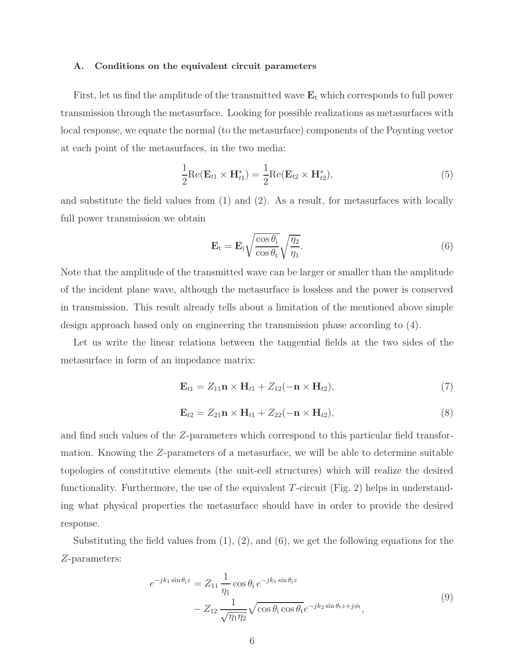### A. Conditions on the equivalent circuit parameters

First, let us find the amplitude of the transmitted wave  $E_t$  which corresponds to full power transmission through the metasurface. Looking for possible realizations as metasurfaces with local response, we equate the normal (to the metasurface) components of the Poynting vector at each point of the metasurfaces, in the two media:

$$
\frac{1}{2}\text{Re}(\mathbf{E}_{t1} \times \mathbf{H}_{t1}^*) = \frac{1}{2}\text{Re}(\mathbf{E}_{t2} \times \mathbf{H}_{t2}^*),\tag{5}
$$

and substitute the field values from (1) and (2). As a result, for metasurfaces with locally full power transmission we obtain

$$
\mathbf{E}_{t} = \mathbf{E}_{i} \sqrt{\frac{\cos \theta_{i}}{\cos \theta_{t}}} \sqrt{\frac{\eta_{2}}{\eta_{1}}}.
$$
\n(6)

Note that the amplitude of the transmitted wave can be larger or smaller than the amplitude of the incident plane wave, although the metasurface is lossless and the power is conserved in transmission. This result already tells about a limitation of the mentioned above simple design approach based only on engineering the transmission phase according to (4).

Let us write the linear relations between the tangential fields at the two sides of the metasurface in form of an impedance matrix:

$$
\mathbf{E}_{t1} = Z_{11}\mathbf{n} \times \mathbf{H}_{t1} + Z_{12}(-\mathbf{n} \times \mathbf{H}_{t2}), \tag{7}
$$

$$
\mathbf{E}_{t2} = Z_{21}\mathbf{n} \times \mathbf{H}_{t1} + Z_{22}(-\mathbf{n} \times \mathbf{H}_{t2}),
$$
\n(8)

and find such values of the Z-parameters which correspond to this particular field transformation. Knowing the Z-parameters of a metasurface, we will be able to determine suitable topologies of constitutive elements (the unit-cell structures) which will realize the desired functionality. Furthermore, the use of the equivalent  $T$ -circuit (Fig. 2) helps in understanding what physical properties the metasurface should have in order to provide the desired response.

Substituting the field values from  $(1)$ ,  $(2)$ , and  $(6)$ , we get the following equations for the Z-parameters:

$$
e^{-jk_1 \sin \theta_i z} = Z_{11} \frac{1}{\eta_1} \cos \theta_i e^{-jk_1 \sin \theta_i z}
$$
  
- 
$$
Z_{12} \frac{1}{\sqrt{\eta_1 \eta_2}} \sqrt{\cos \theta_i \cos \theta_t} e^{-jk_2 \sin \theta_t z + j\phi_t},
$$

$$
(9)
$$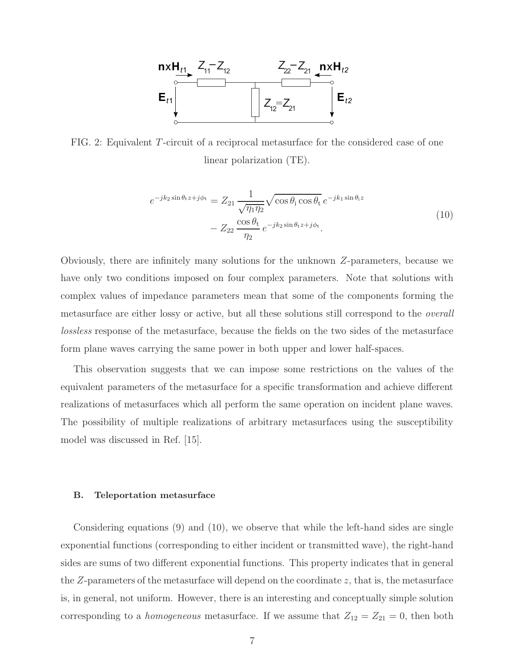

FIG. 2: Equivalent T-circuit of a reciprocal metasurface for the considered case of one linear polarization (TE).

$$
e^{-jk_2 \sin \theta_t z + j\phi_t} = Z_{21} \frac{1}{\sqrt{\eta_1 \eta_2}} \sqrt{\cos \theta_i \cos \theta_t} e^{-jk_1 \sin \theta_i z}
$$
  

$$
- Z_{22} \frac{\cos \theta_t}{\eta_2} e^{-jk_2 \sin \theta_t z + j\phi_t}.
$$

$$
(10)
$$

Obviously, there are infinitely many solutions for the unknown Z-parameters, because we have only two conditions imposed on four complex parameters. Note that solutions with complex values of impedance parameters mean that some of the components forming the metasurface are either lossy or active, but all these solutions still correspond to the overall lossless response of the metasurface, because the fields on the two sides of the metasurface form plane waves carrying the same power in both upper and lower half-spaces.

This observation suggests that we can impose some restrictions on the values of the equivalent parameters of the metasurface for a specific transformation and achieve different realizations of metasurfaces which all perform the same operation on incident plane waves. The possibility of multiple realizations of arbitrary metasurfaces using the susceptibility model was discussed in Ref. [15].

### B. Teleportation metasurface

Considering equations (9) and (10), we observe that while the left-hand sides are single exponential functions (corresponding to either incident or transmitted wave), the right-hand sides are sums of two different exponential functions. This property indicates that in general the  $Z$ -parameters of the metasurface will depend on the coordinate  $z$ , that is, the metasurface is, in general, not uniform. However, there is an interesting and conceptually simple solution corresponding to a *homogeneous* metasurface. If we assume that  $Z_{12} = Z_{21} = 0$ , then both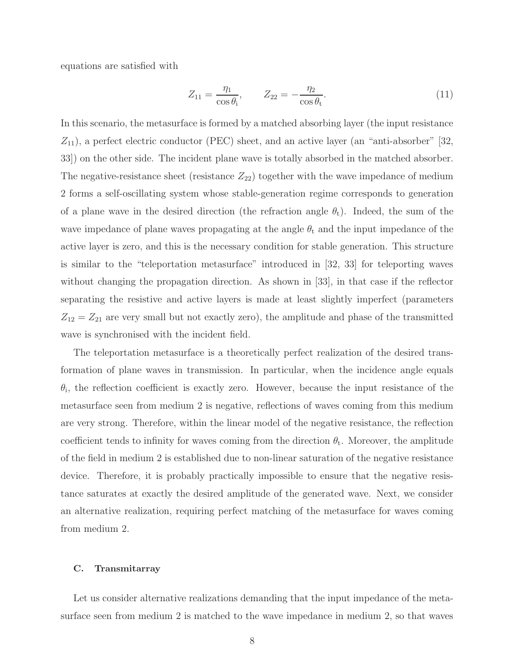equations are satisfied with

$$
Z_{11} = \frac{\eta_1}{\cos \theta_i}, \qquad Z_{22} = -\frac{\eta_2}{\cos \theta_t}.
$$
 (11)

In this scenario, the metasurface is formed by a matched absorbing layer (the input resistance  $Z_{11}$ , a perfect electric conductor (PEC) sheet, and an active layer (an "anti-absorber" [32, 33]) on the other side. The incident plane wave is totally absorbed in the matched absorber. The negative-resistance sheet (resistance  $Z_{22}$ ) together with the wave impedance of medium 2 forms a self-oscillating system whose stable-generation regime corresponds to generation of a plane wave in the desired direction (the refraction angle  $\theta_t$ ). Indeed, the sum of the wave impedance of plane waves propagating at the angle  $\theta_t$  and the input impedance of the active layer is zero, and this is the necessary condition for stable generation. This structure is similar to the "teleportation metasurface" introduced in [32, 33] for teleporting waves without changing the propagation direction. As shown in [33], in that case if the reflector separating the resistive and active layers is made at least slightly imperfect (parameters  $Z_{12} = Z_{21}$  are very small but not exactly zero), the amplitude and phase of the transmitted wave is synchronised with the incident field.

The teleportation metasurface is a theoretically perfect realization of the desired transformation of plane waves in transmission. In particular, when the incidence angle equals  $\theta_i$ , the reflection coefficient is exactly zero. However, because the input resistance of the metasurface seen from medium 2 is negative, reflections of waves coming from this medium are very strong. Therefore, within the linear model of the negative resistance, the reflection coefficient tends to infinity for waves coming from the direction  $\theta_t$ . Moreover, the amplitude of the field in medium 2 is established due to non-linear saturation of the negative resistance device. Therefore, it is probably practically impossible to ensure that the negative resistance saturates at exactly the desired amplitude of the generated wave. Next, we consider an alternative realization, requiring perfect matching of the metasurface for waves coming from medium 2.

### C. Transmitarray

Let us consider alternative realizations demanding that the input impedance of the metasurface seen from medium 2 is matched to the wave impedance in medium 2, so that waves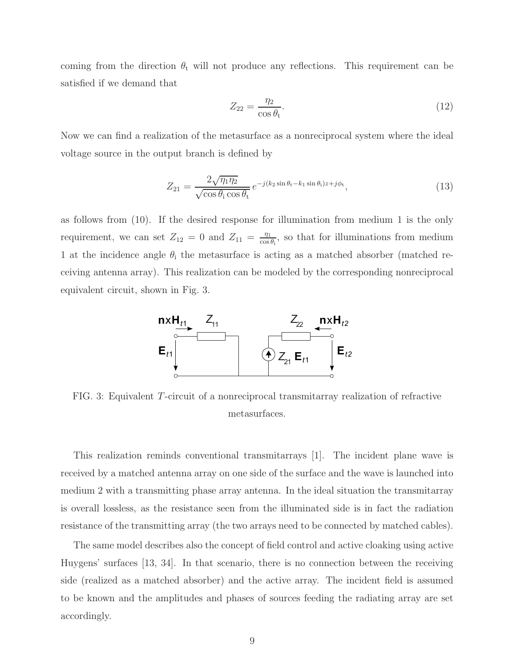coming from the direction  $\theta_t$  will not produce any reflections. This requirement can be satisfied if we demand that

$$
Z_{22} = \frac{\eta_2}{\cos \theta_t}.\tag{12}
$$

Now we can find a realization of the metasurface as a nonreciprocal system where the ideal voltage source in the output branch is defined by

$$
Z_{21} = \frac{2\sqrt{\eta_1 \eta_2}}{\sqrt{\cos \theta_i \cos \theta_t}} e^{-j(k_2 \sin \theta_t - k_1 \sin \theta_i) z + j\phi_t},
$$
\n(13)

as follows from (10). If the desired response for illumination from medium 1 is the only requirement, we can set  $Z_{12} = 0$  and  $Z_{11} = \frac{\eta_1}{\cos \eta_2}$  $\frac{\eta_1}{\cos \theta_1}$ , so that for illuminations from medium 1 at the incidence angle  $\theta_i$  the metasurface is acting as a matched absorber (matched receiving antenna array). This realization can be modeled by the corresponding nonreciprocal equivalent circuit, shown in Fig. 3.



FIG. 3: Equivalent T-circuit of a nonreciprocal transmitarray realization of refractive metasurfaces.

This realization reminds conventional transmitarrays [1]. The incident plane wave is received by a matched antenna array on one side of the surface and the wave is launched into medium 2 with a transmitting phase array antenna. In the ideal situation the transmitarray is overall lossless, as the resistance seen from the illuminated side is in fact the radiation resistance of the transmitting array (the two arrays need to be connected by matched cables).

The same model describes also the concept of field control and active cloaking using active Huygens' surfaces [13, 34]. In that scenario, there is no connection between the receiving side (realized as a matched absorber) and the active array. The incident field is assumed to be known and the amplitudes and phases of sources feeding the radiating array are set accordingly.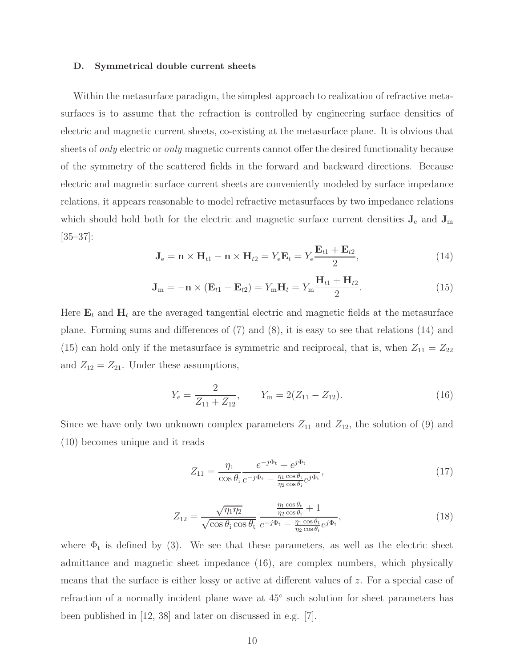### D. Symmetrical double current sheets

Within the metasurface paradigm, the simplest approach to realization of refractive metasurfaces is to assume that the refraction is controlled by engineering surface densities of electric and magnetic current sheets, co-existing at the metasurface plane. It is obvious that sheets of *only* electric or *only* magnetic currents cannot offer the desired functionality because of the symmetry of the scattered fields in the forward and backward directions. Because electric and magnetic surface current sheets are conveniently modeled by surface impedance relations, it appears reasonable to model refractive metasurfaces by two impedance relations which should hold both for the electric and magnetic surface current densities  $J_e$  and  $J_m$  $|35-37|$ :

$$
\mathbf{J}_{e} = \mathbf{n} \times \mathbf{H}_{t1} - \mathbf{n} \times \mathbf{H}_{t2} = Y_{e}\mathbf{E}_{t} = Y_{e}\frac{\mathbf{E}_{t1} + \mathbf{E}_{t2}}{2},
$$
\n(14)

$$
\mathbf{J}_{\mathrm{m}} = -\mathbf{n} \times (\mathbf{E}_{t1} - \mathbf{E}_{t2}) = Y_{\mathrm{m}} \mathbf{H}_{t} = Y_{\mathrm{m}} \frac{\mathbf{H}_{t1} + \mathbf{H}_{t2}}{2}.
$$
 (15)

Here  $\mathbf{E}_t$  and  $\mathbf{H}_t$  are the averaged tangential electric and magnetic fields at the metasurface plane. Forming sums and differences of (7) and (8), it is easy to see that relations (14) and (15) can hold only if the metasurface is symmetric and reciprocal, that is, when  $Z_{11} = Z_{22}$ and  $Z_{12} = Z_{21}$ . Under these assumptions,

$$
Y_{\rm e} = \frac{2}{Z_{11} + Z_{12}}, \qquad Y_{\rm m} = 2(Z_{11} - Z_{12}). \tag{16}
$$

Since we have only two unknown complex parameters  $Z_{11}$  and  $Z_{12}$ , the solution of (9) and (10) becomes unique and it reads

$$
Z_{11} = \frac{\eta_1}{\cos \theta_i} \frac{e^{-j\Phi_t} + e^{j\Phi_t}}{e^{-j\Phi_t} - \frac{\eta_1 \cos \theta_t}{\eta_2 \cos \theta_i} e^{j\Phi_t}},\tag{17}
$$

$$
Z_{12} = \frac{\sqrt{\eta_1 \eta_2}}{\sqrt{\cos \theta_i \cos \theta_t}} \frac{\frac{\eta_1 \cos \theta_t}{\eta_2 \cos \theta_t} + 1}{e^{-j\Phi_t} - \frac{\eta_1 \cos \theta_t}{\eta_2 \cos \theta_t} e^{j\Phi_t}},
$$
(18)

where  $\Phi_t$  is defined by (3). We see that these parameters, as well as the electric sheet admittance and magnetic sheet impedance (16), are complex numbers, which physically means that the surface is either lossy or active at different values of z. For a special case of refraction of a normally incident plane wave at 45◦ such solution for sheet parameters has been published in [12, 38] and later on discussed in e.g. [7].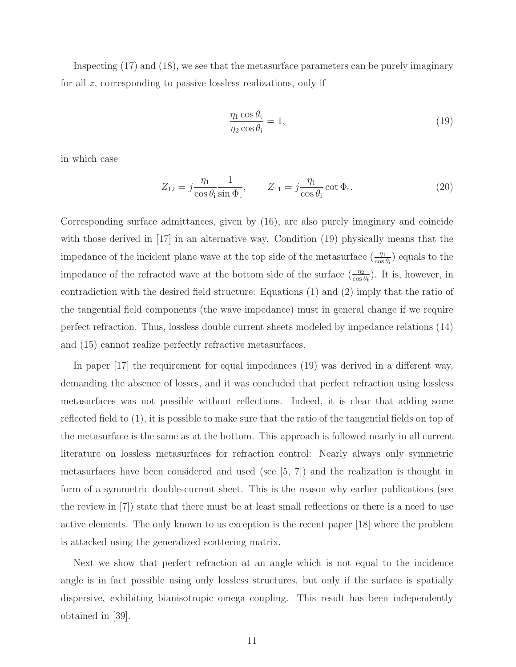Inspecting (17) and (18), we see that the metasurface parameters can be purely imaginary for all z, corresponding to passive lossless realizations, only if

$$
\frac{\eta_1 \cos \theta_t}{\eta_2 \cos \theta_i} = 1,\tag{19}
$$

in which case

$$
Z_{12} = j \frac{\eta_1}{\cos \theta_i} \frac{1}{\sin \Phi_t}, \qquad Z_{11} = j \frac{\eta_1}{\cos \theta_i} \cot \Phi_t.
$$
 (20)

Corresponding surface admittances, given by (16), are also purely imaginary and coincide with those derived in [17] in an alternative way. Condition (19) physically means that the impedance of the incident plane wave at the top side of the metasurface  $(\frac{\eta_1}{\cos \theta_i})$  equals to the impedance of the refracted wave at the bottom side of the surface  $(\frac{\eta_2}{\cos \theta_t})$ . It is, however, in contradiction with the desired field structure: Equations (1) and (2) imply that the ratio of the tangential field components (the wave impedance) must in general change if we require perfect refraction. Thus, lossless double current sheets modeled by impedance relations (14) and (15) cannot realize perfectly refractive metasurfaces.

In paper [17] the requirement for equal impedances (19) was derived in a different way, demanding the absence of losses, and it was concluded that perfect refraction using lossless metasurfaces was not possible without reflections. Indeed, it is clear that adding some reflected field to (1), it is possible to make sure that the ratio of the tangential fields on top of the metasurface is the same as at the bottom. This approach is followed nearly in all current literature on lossless metasurfaces for refraction control: Nearly always only symmetric metasurfaces have been considered and used (see [5, 7]) and the realization is thought in form of a symmetric double-current sheet. This is the reason why earlier publications (see the review in [7]) state that there must be at least small reflections or there is a need to use active elements. The only known to us exception is the recent paper [18] where the problem is attacked using the generalized scattering matrix.

Next we show that perfect refraction at an angle which is not equal to the incidence angle is in fact possible using only lossless structures, but only if the surface is spatially dispersive, exhibiting bianisotropic omega coupling. This result has been independently obtained in [39].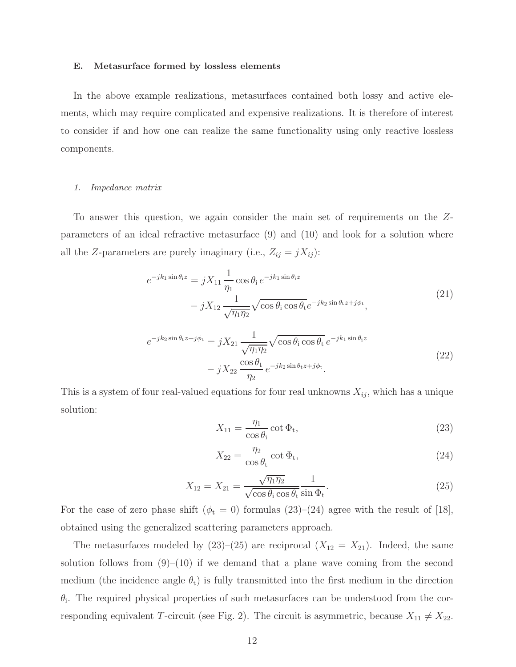### E. Metasurface formed by lossless elements

In the above example realizations, metasurfaces contained both lossy and active elements, which may require complicated and expensive realizations. It is therefore of interest to consider if and how one can realize the same functionality using only reactive lossless components.

### 1. Impedance matrix

To answer this question, we again consider the main set of requirements on the Zparameters of an ideal refractive metasurface (9) and (10) and look for a solution where all the Z-parameters are purely imaginary (i.e.,  $Z_{ij} = jX_{ij}$ ):

$$
e^{-jk_1\sin\theta_i z} = jX_{11} \frac{1}{\eta_1} \cos\theta_i e^{-jk_1\sin\theta_i z}
$$
  

$$
- jX_{12} \frac{1}{\sqrt{\eta_1 \eta_2}} \sqrt{\cos\theta_i \cos\theta_t} e^{-jk_2\sin\theta_t z + j\phi_t},
$$

$$
(21)
$$

$$
e^{-jk_2 \sin \theta_t z + j\phi_t} = jX_{21} \frac{1}{\sqrt{\eta_1 \eta_2}} \sqrt{\cos \theta_i \cos \theta_t} e^{-jk_1 \sin \theta_i z}
$$
  

$$
- jX_{22} \frac{\cos \theta_t}{\eta_2} e^{-jk_2 \sin \theta_t z + j\phi_t}.
$$
 (22)

This is a system of four real-valued equations for four real unknowns  $X_{ij}$ , which has a unique solution:

$$
X_{11} = \frac{\eta_1}{\cos \theta_i} \cot \Phi_t,\tag{23}
$$

$$
X_{22} = \frac{\eta_2}{\cos \theta_t} \cot \Phi_t,\tag{24}
$$

$$
X_{12} = X_{21} = \frac{\sqrt{\eta_1 \eta_2}}{\sqrt{\cos \theta_1 \cos \theta_1} \sin \Phi_t}.
$$
\n(25)

For the case of zero phase shift ( $\phi_t = 0$ ) formulas (23)–(24) agree with the result of [18], obtained using the generalized scattering parameters approach.

The metasurfaces modeled by (23)–(25) are reciprocal  $(X_{12} = X_{21})$ . Indeed, the same solution follows from  $(9)$ – $(10)$  if we demand that a plane wave coming from the second medium (the incidence angle  $\theta_t$ ) is fully transmitted into the first medium in the direction  $\theta_i$ . The required physical properties of such metasurfaces can be understood from the corresponding equivalent T-circuit (see Fig. 2). The circuit is asymmetric, because  $X_{11} \neq X_{22}$ .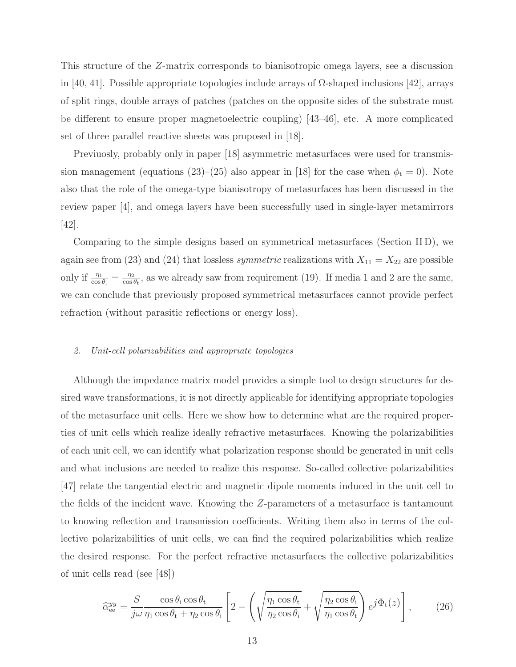This structure of the Z-matrix corresponds to bianisotropic omega layers, see a discussion in [40, 41]. Possible appropriate topologies include arrays of  $\Omega$ -shaped inclusions [42], arrays of split rings, double arrays of patches (patches on the opposite sides of the substrate must be different to ensure proper magnetoelectric coupling) [43–46], etc. A more complicated set of three parallel reactive sheets was proposed in [18].

Previuosly, probably only in paper [18] asymmetric metasurfaces were used for transmission management (equations (23)–(25) also appear in [18] for the case when  $\phi_t = 0$ ). Note also that the role of the omega-type bianisotropy of metasurfaces has been discussed in the review paper [4], and omega layers have been successfully used in single-layer metamirrors [42].

Comparing to the simple designs based on symmetrical metasurfaces (Section II D), we again see from (23) and (24) that lossless *symmetric* realizations with  $X_{11} = X_{22}$  are possible only if  $\frac{\eta_1}{\cos \theta_i} = \frac{\eta_2}{\cos \theta_i}$  $\frac{\eta_2}{\cos \theta_t}$ , as we already saw from requirement (19). If media 1 and 2 are the same, we can conclude that previously proposed symmetrical metasurfaces cannot provide perfect refraction (without parasitic reflections or energy loss).

### 2. Unit-cell polarizabilities and appropriate topologies

Although the impedance matrix model provides a simple tool to design structures for desired wave transformations, it is not directly applicable for identifying appropriate topologies of the metasurface unit cells. Here we show how to determine what are the required properties of unit cells which realize ideally refractive metasurfaces. Knowing the polarizabilities of each unit cell, we can identify what polarization response should be generated in unit cells and what inclusions are needed to realize this response. So-called collective polarizabilities [47] relate the tangential electric and magnetic dipole moments induced in the unit cell to the fields of the incident wave. Knowing the Z-parameters of a metasurface is tantamount to knowing reflection and transmission coefficients. Writing them also in terms of the collective polarizabilities of unit cells, we can find the required polarizabilities which realize the desired response. For the perfect refractive metasurfaces the collective polarizabilities of unit cells read (see [48])

$$
\widehat{\alpha}_{ee}^{yy} = \frac{S}{j\omega} \frac{\cos \theta_i \cos \theta_t}{\eta_1 \cos \theta_t + \eta_2 \cos \theta_i} \left[ 2 - \left( \sqrt{\frac{\eta_1 \cos \theta_t}{\eta_2 \cos \theta_i}} + \sqrt{\frac{\eta_2 \cos \theta_i}{\eta_1 \cos \theta_t}} \right) e^{j\Phi_t(z)} \right],\tag{26}
$$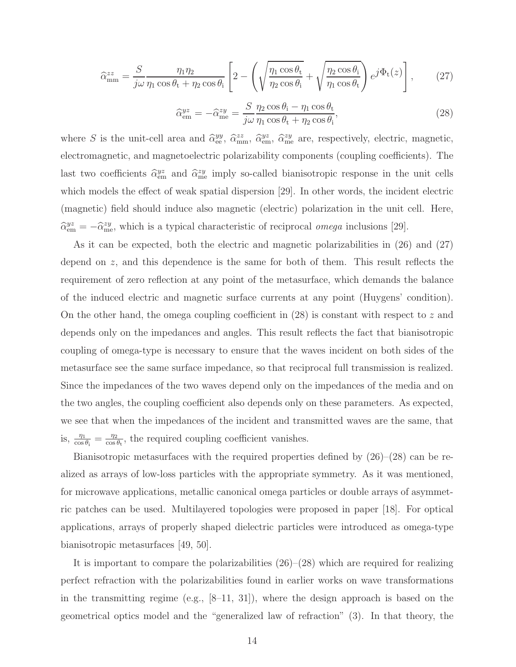$$
\widehat{\alpha}_{\text{mm}}^{zz} = \frac{S}{j\omega} \frac{\eta_1 \eta_2}{\eta_1 \cos \theta_t + \eta_2 \cos \theta_i} \left[ 2 - \left( \sqrt{\frac{\eta_1 \cos \theta_t}{\eta_2 \cos \theta_i}} + \sqrt{\frac{\eta_2 \cos \theta_i}{\eta_1 \cos \theta_t}} \right) e^{j\Phi_t(z)} \right],\tag{27}
$$

$$
\widehat{\alpha}_{em}^{yz} = -\widehat{\alpha}_{me}^{zy} = \frac{S}{j\omega} \frac{\eta_2 \cos \theta_1 - \eta_1 \cos \theta_t}{\eta_1 \cos \theta_t + \eta_2 \cos \theta_i},\tag{28}
$$

where S is the unit-cell area and  $\hat{\alpha}_{ee}^{yy}$ ,  $\hat{\alpha}_{em}^{zz}$ ,  $\hat{\alpha}_{em}^{yz}$ ,  $\hat{\alpha}_{me}^{zy}$  are, respectively, electric, magnetic, electromagnetic, and magnetoelectric polarizability components (coupling coefficients). The last two coefficients  $\hat{\alpha}_{em}^{yz}$  and  $\hat{\alpha}_{me}^{zy}$  imply so-called bianisotropic response in the unit cells which models the effect of weak spatial dispersion [29]. In other words, the incident electric (magnetic) field should induce also magnetic (electric) polarization in the unit cell. Here,  $\hat{\alpha}_{em}^{yz} = -\hat{\alpha}_{me}^{zy}$ , which is a typical characteristic of reciprocal *omega* inclusions [29].

As it can be expected, both the electric and magnetic polarizabilities in  $(26)$  and  $(27)$ depend on z, and this dependence is the same for both of them. This result reflects the requirement of zero reflection at any point of the metasurface, which demands the balance of the induced electric and magnetic surface currents at any point (Huygens' condition). On the other hand, the omega coupling coefficient in  $(28)$  is constant with respect to z and depends only on the impedances and angles. This result reflects the fact that bianisotropic coupling of omega-type is necessary to ensure that the waves incident on both sides of the metasurface see the same surface impedance, so that reciprocal full transmission is realized. Since the impedances of the two waves depend only on the impedances of the media and on the two angles, the coupling coefficient also depends only on these parameters. As expected, we see that when the impedances of the incident and transmitted waves are the same, that is,  $\frac{\eta_1}{\cos \theta_i} = \frac{\eta_2}{\cos \theta_i}$  $\frac{\eta_2}{\cos \theta_t}$ , the required coupling coefficient vanishes.

Bianisotropic metasurfaces with the required properties defined by (26)–(28) can be realized as arrays of low-loss particles with the appropriate symmetry. As it was mentioned, for microwave applications, metallic canonical omega particles or double arrays of asymmetric patches can be used. Multilayered topologies were proposed in paper [18]. For optical applications, arrays of properly shaped dielectric particles were introduced as omega-type bianisotropic metasurfaces [49, 50].

It is important to compare the polarizabilities  $(26)$ – $(28)$  which are required for realizing perfect refraction with the polarizabilities found in earlier works on wave transformations in the transmitting regime (e.g.,  $[8-11, 31]$ ), where the design approach is based on the geometrical optics model and the "generalized law of refraction" (3). In that theory, the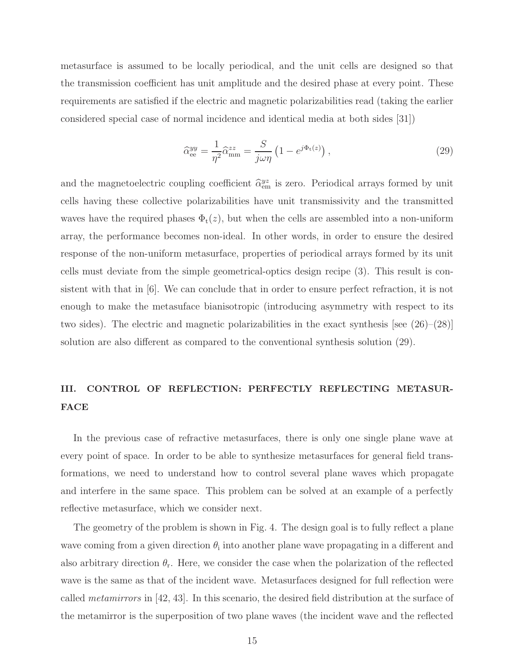metasurface is assumed to be locally periodical, and the unit cells are designed so that the transmission coefficient has unit amplitude and the desired phase at every point. These requirements are satisfied if the electric and magnetic polarizabilities read (taking the earlier considered special case of normal incidence and identical media at both sides [31])

$$
\widehat{\alpha}_{\text{ee}}^{yy} = \frac{1}{\eta^2} \widehat{\alpha}_{\text{mm}}^{zz} = \frac{S}{j\omega\eta} \left( 1 - e^{j\Phi_t(z)} \right),\tag{29}
$$

and the magnetoelectric coupling coefficient  $\hat{\alpha}_{em}^{yz}$  is zero. Periodical arrays formed by unit cells having these collective polarizabilities have unit transmissivity and the transmitted waves have the required phases  $\Phi_t(z)$ , but when the cells are assembled into a non-uniform array, the performance becomes non-ideal. In other words, in order to ensure the desired response of the non-uniform metasurface, properties of periodical arrays formed by its unit cells must deviate from the simple geometrical-optics design recipe (3). This result is consistent with that in [6]. We can conclude that in order to ensure perfect refraction, it is not enough to make the metasuface bianisotropic (introducing asymmetry with respect to its two sides). The electric and magnetic polarizabilities in the exact synthesis [see (26)–(28)] solution are also different as compared to the conventional synthesis solution (29).

## III. CONTROL OF REFLECTION: PERFECTLY REFLECTING METASUR-**FACE**

In the previous case of refractive metasurfaces, there is only one single plane wave at every point of space. In order to be able to synthesize metasurfaces for general field transformations, we need to understand how to control several plane waves which propagate and interfere in the same space. This problem can be solved at an example of a perfectly reflective metasurface, which we consider next.

The geometry of the problem is shown in Fig. 4. The design goal is to fully reflect a plane wave coming from a given direction  $\theta_i$  into another plane wave propagating in a different and also arbitrary direction  $\theta_r$ . Here, we consider the case when the polarization of the reflected wave is the same as that of the incident wave. Metasurfaces designed for full reflection were called metamirrors in [42, 43]. In this scenario, the desired field distribution at the surface of the metamirror is the superposition of two plane waves (the incident wave and the reflected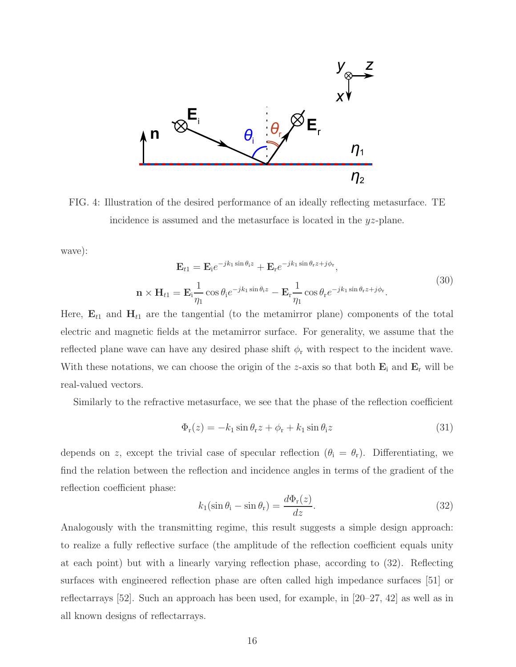

FIG. 4: Illustration of the desired performance of an ideally reflecting metasurface. TE incidence is assumed and the metasurface is located in the yz-plane.

wave):

$$
\mathbf{E}_{t1} = \mathbf{E}_{i} e^{-j k_1 \sin \theta_i z} + \mathbf{E}_{r} e^{-j k_1 \sin \theta_r z + j \phi_r},
$$
  
\n
$$
\mathbf{n} \times \mathbf{H}_{t1} = \mathbf{E}_{i} \frac{1}{\eta_1} \cos \theta_i e^{-j k_1 \sin \theta_i z} - \mathbf{E}_{r} \frac{1}{\eta_1} \cos \theta_r e^{-j k_1 \sin \theta_r z + j \phi_r}.
$$
\n(30)

Here,  $\mathbf{E}_{t1}$  and  $\mathbf{H}_{t1}$  are the tangential (to the metamirror plane) components of the total electric and magnetic fields at the metamirror surface. For generality, we assume that the reflected plane wave can have any desired phase shift  $\phi_r$  with respect to the incident wave. With these notations, we can choose the origin of the z-axis so that both  $\mathbf{E}_i$  and  $\mathbf{E}_r$  will be real-valued vectors.

Similarly to the refractive metasurface, we see that the phase of the reflection coefficient

$$
\Phi_{\rm r}(z) = -k_1 \sin \theta_{\rm r} z + \phi_{\rm r} + k_1 \sin \theta_{\rm i} z \tag{31}
$$

depends on z, except the trivial case of specular reflection  $(\theta_i = \theta_r)$ . Differentiating, we find the relation between the reflection and incidence angles in terms of the gradient of the reflection coefficient phase:

$$
k_1(\sin \theta_i - \sin \theta_r) = \frac{d\Phi_r(z)}{dz}.
$$
\n(32)

Analogously with the transmitting regime, this result suggests a simple design approach: to realize a fully reflective surface (the amplitude of the reflection coefficient equals unity at each point) but with a linearly varying reflection phase, according to (32). Reflecting surfaces with engineered reflection phase are often called high impedance surfaces [51] or reflectarrays [52]. Such an approach has been used, for example, in [20–27, 42] as well as in all known designs of reflectarrays.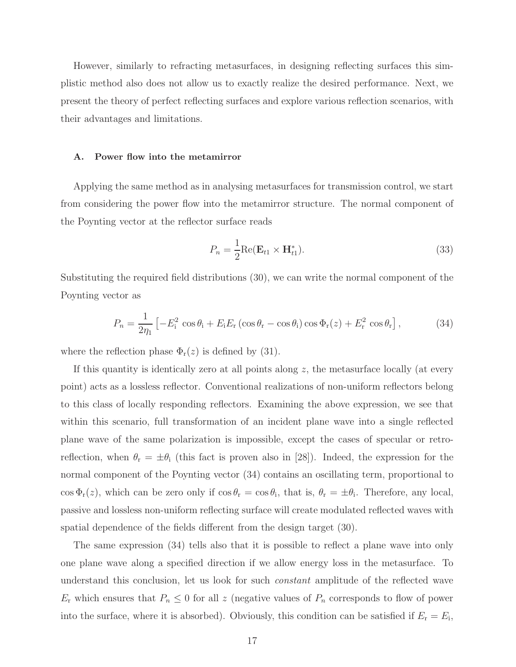However, similarly to refracting metasurfaces, in designing reflecting surfaces this simplistic method also does not allow us to exactly realize the desired performance. Next, we present the theory of perfect reflecting surfaces and explore various reflection scenarios, with their advantages and limitations.

### A. Power flow into the metamirror

Applying the same method as in analysing metasurfaces for transmission control, we start from considering the power flow into the metamirror structure. The normal component of the Poynting vector at the reflector surface reads

$$
P_n = \frac{1}{2} \text{Re}(\mathbf{E}_{t1} \times \mathbf{H}_{t1}^*).
$$
\n(33)

Substituting the required field distributions (30), we can write the normal component of the Poynting vector as

$$
P_n = \frac{1}{2\eta_1} \left[ -E_i^2 \cos\theta_i + E_i E_r \left( \cos\theta_r - \cos\theta_i \right) \cos\Phi_r(z) + E_r^2 \cos\theta_r \right],\tag{34}
$$

where the reflection phase  $\Phi_r(z)$  is defined by (31).

If this quantity is identically zero at all points along  $z$ , the metasurface locally (at every point) acts as a lossless reflector. Conventional realizations of non-uniform reflectors belong to this class of locally responding reflectors. Examining the above expression, we see that within this scenario, full transformation of an incident plane wave into a single reflected plane wave of the same polarization is impossible, except the cases of specular or retroreflection, when  $\theta_r = \pm \theta_i$  (this fact is proven also in [28]). Indeed, the expression for the normal component of the Poynting vector (34) contains an oscillating term, proportional to  $\cos \Phi_{\rm r}(z)$ , which can be zero only if  $\cos \theta_{\rm r} = \cos \theta_{\rm i}$ , that is,  $\theta_{\rm r} = \pm \theta_{\rm i}$ . Therefore, any local, passive and lossless non-uniform reflecting surface will create modulated reflected waves with spatial dependence of the fields different from the design target (30).

The same expression (34) tells also that it is possible to reflect a plane wave into only one plane wave along a specified direction if we allow energy loss in the metasurface. To understand this conclusion, let us look for such constant amplitude of the reflected wave  $E_r$  which ensures that  $P_n \leq 0$  for all z (negative values of  $P_n$  corresponds to flow of power into the surface, where it is absorbed). Obviously, this condition can be satisfied if  $E_r = E_i$ ,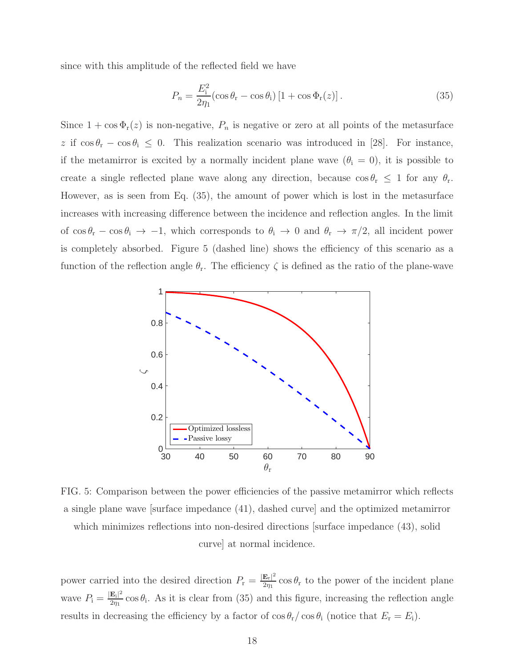since with this amplitude of the reflected field we have

$$
P_n = \frac{E_i^2}{2\eta_1} (\cos \theta_{\rm r} - \cos \theta_{\rm i}) \left[ 1 + \cos \Phi_{\rm r}(z) \right]. \tag{35}
$$

Since  $1 + \cos \Phi_r(z)$  is non-negative,  $P_n$  is negative or zero at all points of the metasurface z if  $\cos \theta_r - \cos \theta_i \leq 0$ . This realization scenario was introduced in [28]. For instance, if the metamirror is excited by a normally incident plane wave  $(\theta_i = 0)$ , it is possible to create a single reflected plane wave along any direction, because  $\cos \theta_r \leq 1$  for any  $\theta_r$ . However, as is seen from Eq. (35), the amount of power which is lost in the metasurface increases with increasing difference between the incidence and reflection angles. In the limit of  $\cos \theta_r - \cos \theta_i \to -1$ , which corresponds to  $\theta_i \to 0$  and  $\theta_r \to \pi/2$ , all incident power is completely absorbed. Figure 5 (dashed line) shows the efficiency of this scenario as a function of the reflection angle  $\theta_r$ . The efficiency  $\zeta$  is defined as the ratio of the plane-wave



FIG. 5: Comparison between the power efficiencies of the passive metamirror which reflects a single plane wave [surface impedance (41), dashed curve] and the optimized metamirror which minimizes reflections into non-desired directions surface impedance  $(43)$ , solid curve] at normal incidence.

power carried into the desired direction  $P_r = \frac{|\mathbf{E}_r|^2}{2m}$  $\frac{E_r}{2\eta_1}$  cos  $\theta_r$  to the power of the incident plane wave  $P_i = \frac{|\mathbf{E}_i|^2}{2n_i}$  $\frac{\mathbf{E}_{i}|^2}{2\eta_1}$  cos  $\theta_i$ . As it is clear from (35) and this figure, increasing the reflection angle results in decreasing the efficiency by a factor of  $\cos \theta_{\rm r}/\cos \theta_{\rm i}$  (notice that  $E_{\rm r} = E_{\rm i}$ ).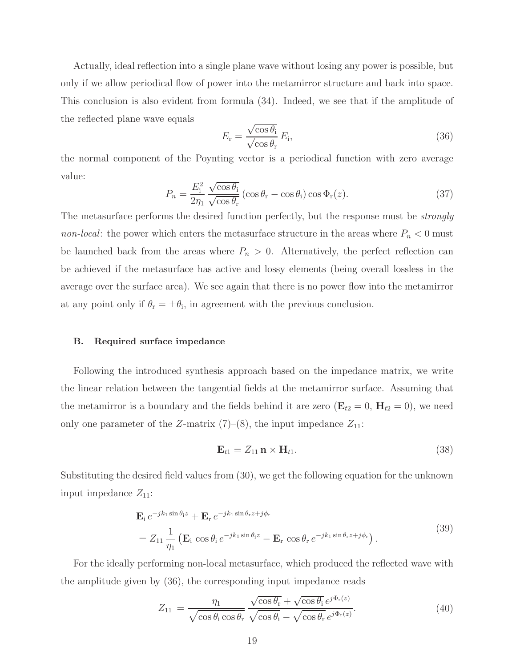Actually, ideal reflection into a single plane wave without losing any power is possible, but only if we allow periodical flow of power into the metamirror structure and back into space. This conclusion is also evident from formula (34). Indeed, we see that if the amplitude of the reflected plane wave equals

$$
E_{\rm r} = \frac{\sqrt{\cos \theta_{\rm i}}}{\sqrt{\cos \theta_{\rm r}}} E_{\rm i},\tag{36}
$$

the normal component of the Poynting vector is a periodical function with zero average value:

$$
P_n = \frac{E_i^2}{2\eta_1} \frac{\sqrt{\cos \theta_i}}{\sqrt{\cos \theta_r}} (\cos \theta_r - \cos \theta_i) \cos \Phi_r(z).
$$
 (37)

The metasurface performs the desired function perfectly, but the response must be *strongly* non-local: the power which enters the metasurface structure in the areas where  $P_n < 0$  must be launched back from the areas where  $P_n > 0$ . Alternatively, the perfect reflection can be achieved if the metasurface has active and lossy elements (being overall lossless in the average over the surface area). We see again that there is no power flow into the metamirror at any point only if  $\theta_r = \pm \theta_i$ , in agreement with the previous conclusion.

### B. Required surface impedance

Following the introduced synthesis approach based on the impedance matrix, we write the linear relation between the tangential fields at the metamirror surface. Assuming that the metamirror is a boundary and the fields behind it are zero  $(E_{t2} = 0, H_{t2} = 0)$ , we need only one parameter of the Z-matrix  $(7)-(8)$ , the input impedance  $Z_{11}$ :

$$
\mathbf{E}_{t1} = Z_{11} \mathbf{n} \times \mathbf{H}_{t1}. \tag{38}
$$

Substituting the desired field values from (30), we get the following equation for the unknown input impedance  $Z_{11}$ :

$$
\mathbf{E}_{i} e^{-jk_{1}\sin\theta_{i}z} + \mathbf{E}_{r} e^{-jk_{1}\sin\theta_{r}z + j\phi_{r}} \n= Z_{11} \frac{1}{\eta_{1}} \left( \mathbf{E}_{i} \cos\theta_{i} e^{-jk_{1}\sin\theta_{i}z} - \mathbf{E}_{r} \cos\theta_{r} e^{-jk_{1}\sin\theta_{r}z + j\phi_{r}} \right).
$$
\n(39)

For the ideally performing non-local metasurface, which produced the reflected wave with the amplitude given by (36), the corresponding input impedance reads

$$
Z_{11} = \frac{\eta_1}{\sqrt{\cos \theta_i \cos \theta_r}} \frac{\sqrt{\cos \theta_r} + \sqrt{\cos \theta_i} e^{j\Phi_r(z)}}{\sqrt{\cos \theta_i} - \sqrt{\cos \theta_r} e^{j\Phi_r(z)}}.
$$
(40)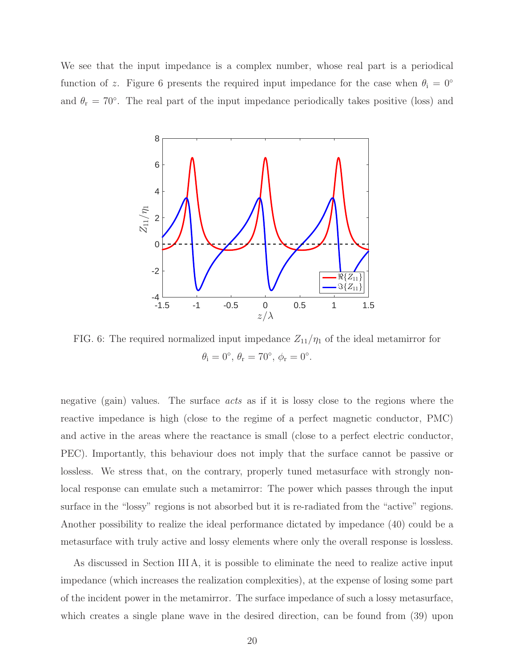We see that the input impedance is a complex number, whose real part is a periodical function of z. Figure 6 presents the required input impedance for the case when  $\theta_i = 0^\circ$ and  $\theta_r = 70^\circ$ . The real part of the input impedance periodically takes positive (loss) and



FIG. 6: The required normalized input impedance  $Z_{11}/\eta_1$  of the ideal metamirror for  $\theta_{\rm i} = 0^{\circ}, \, \theta_{\rm r} = 70^{\circ}, \, \phi_{\rm r} = 0^{\circ}.$ 

negative (gain) values. The surface *acts* as if it is lossy close to the regions where the reactive impedance is high (close to the regime of a perfect magnetic conductor, PMC) and active in the areas where the reactance is small (close to a perfect electric conductor, PEC). Importantly, this behaviour does not imply that the surface cannot be passive or lossless. We stress that, on the contrary, properly tuned metasurface with strongly nonlocal response can emulate such a metamirror: The power which passes through the input surface in the "lossy" regions is not absorbed but it is re-radiated from the "active" regions. Another possibility to realize the ideal performance dictated by impedance (40) could be a metasurface with truly active and lossy elements where only the overall response is lossless.

As discussed in Section III A, it is possible to eliminate the need to realize active input impedance (which increases the realization complexities), at the expense of losing some part of the incident power in the metamirror. The surface impedance of such a lossy metasurface, which creates a single plane wave in the desired direction, can be found from (39) upon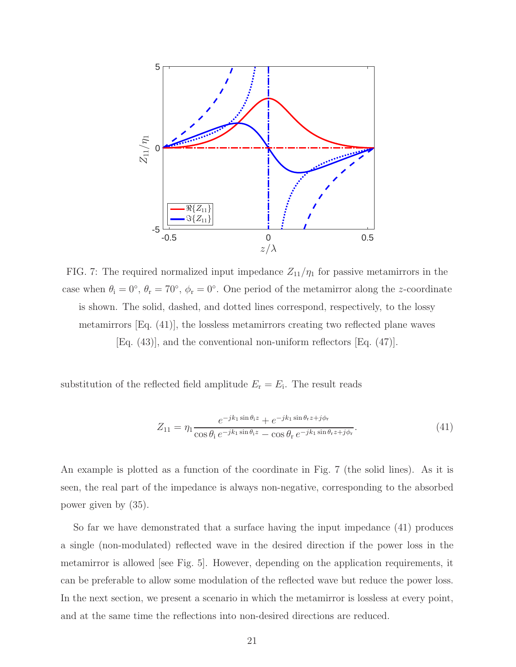

FIG. 7: The required normalized input impedance  $Z_{11}/\eta_1$  for passive metamirrors in the case when  $\theta_i = 0^{\circ}$ ,  $\theta_r = 70^{\circ}$ ,  $\phi_r = 0^{\circ}$ . One period of the metamirror along the z-coordinate is shown. The solid, dashed, and dotted lines correspond, respectively, to the lossy metamirrors [Eq. (41)], the lossless metamirrors creating two reflected plane waves [Eq. (43)], and the conventional non-uniform reflectors [Eq. (47)].

substitution of the reflected field amplitude  $E_r = E_i$ . The result reads

$$
Z_{11} = \eta_1 \frac{e^{-jk_1 \sin \theta_i z} + e^{-jk_1 \sin \theta_r z + j\phi_r}}{\cos \theta_i e^{-jk_1 \sin \theta_i z} - \cos \theta_r e^{-jk_1 \sin \theta_r z + j\phi_r}}.
$$
(41)

An example is plotted as a function of the coordinate in Fig. 7 (the solid lines). As it is seen, the real part of the impedance is always non-negative, corresponding to the absorbed power given by (35).

So far we have demonstrated that a surface having the input impedance (41) produces a single (non-modulated) reflected wave in the desired direction if the power loss in the metamirror is allowed [see Fig. 5]. However, depending on the application requirements, it can be preferable to allow some modulation of the reflected wave but reduce the power loss. In the next section, we present a scenario in which the metamirror is lossless at every point, and at the same time the reflections into non-desired directions are reduced.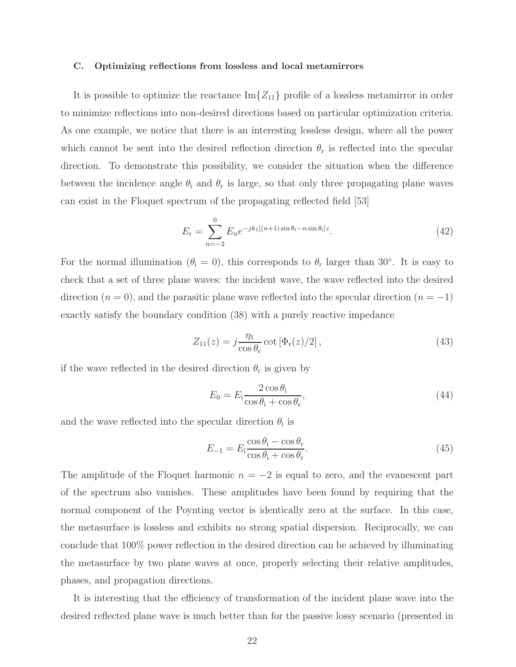#### C. Optimizing reflections from lossless and local metamirrors

It is possible to optimize the reactance  $\text{Im}\{Z_{11}\}$  profile of a lossless metamirror in order to minimize reflections into non-desired directions based on particular optimization criteria. As one example, we notice that there is an interesting lossless design, where all the power which cannot be sent into the desired reflection direction  $\theta_r$  is reflected into the specular direction. To demonstrate this possibility, we consider the situation when the difference between the incidence angle  $\theta_i$  and  $\theta_r$  is large, so that only three propagating plane waves can exist in the Floquet spectrum of the propagating reflected field [53]

$$
E_{\rm r} = \sum_{n=-2}^{0} E_n e^{-j k_1 [(n+1)\sin \theta_{\rm r} - n \sin \theta_{\rm i}] z}.
$$
 (42)

For the normal illumination ( $\theta_i = 0$ ), this corresponds to  $\theta_r$  larger than 30°. It is easy to check that a set of three plane waves: the incident wave, the wave reflected into the desired direction  $(n = 0)$ , and the parasitic plane wave reflected into the specular direction  $(n = -1)$ exactly satisfy the boundary condition (38) with a purely reactive impedance

$$
Z_{11}(z) = j \frac{\eta_1}{\cos \theta_r} \cot \left[ \Phi_r(z)/2 \right],\tag{43}
$$

if the wave reflected in the desired direction  $\theta_r$  is given by

$$
E_0 = E_i \frac{2 \cos \theta_i}{\cos \theta_i + \cos \theta_r},\tag{44}
$$

and the wave reflected into the specular direction  $\theta_i$  is

$$
E_{-1} = E_i \frac{\cos \theta_i - \cos \theta_r}{\cos \theta_i + \cos \theta_r}.
$$
\n(45)

The amplitude of the Floquet harmonic  $n = -2$  is equal to zero, and the evanescent part of the spectrum also vanishes. These amplitudes have been found by requiring that the normal component of the Poynting vector is identically zero at the surface. In this case, the metasurface is lossless and exhibits no strong spatial dispersion. Reciprocally, we can conclude that 100% power reflection in the desired direction can be achieved by illuminating the metasurface by two plane waves at once, properly selecting their relative amplitudes, phases, and propagation directions.

It is interesting that the efficiency of transformation of the incident plane wave into the desired reflected plane wave is much better than for the passive lossy scenario (presented in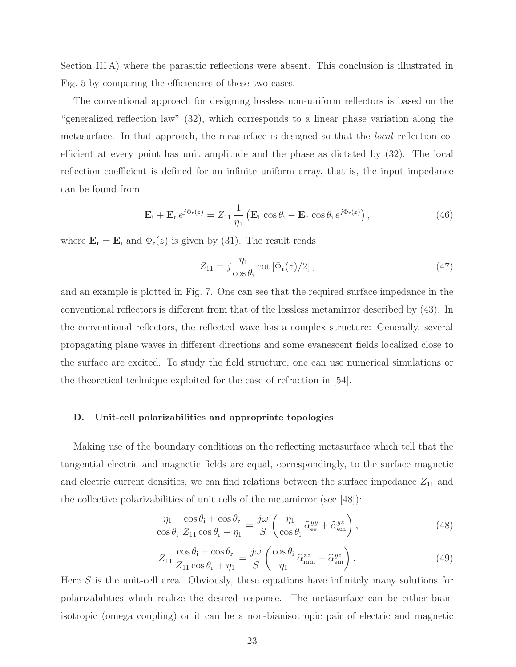Section III A) where the parasitic reflections were absent. This conclusion is illustrated in Fig. 5 by comparing the efficiencies of these two cases.

The conventional approach for designing lossless non-uniform reflectors is based on the "generalized reflection law" (32), which corresponds to a linear phase variation along the metasurface. In that approach, the measurface is designed so that the local reflection coefficient at every point has unit amplitude and the phase as dictated by (32). The local reflection coefficient is defined for an infinite uniform array, that is, the input impedance can be found from

$$
\mathbf{E}_{i} + \mathbf{E}_{r} e^{j\Phi_{r}(z)} = Z_{11} \frac{1}{\eta_{1}} \left( \mathbf{E}_{i} \cos \theta_{i} - \mathbf{E}_{r} \cos \theta_{i} e^{j\Phi_{r}(z)} \right), \qquad (46)
$$

where  $\mathbf{E}_{\rm r} = \mathbf{E}_{\rm i}$  and  $\Phi_{\rm r}(z)$  is given by (31). The result reads

$$
Z_{11} = j \frac{\eta_1}{\cos \theta_i} \cot \left[ \Phi_{\rm r}(z)/2 \right],\tag{47}
$$

and an example is plotted in Fig. 7. One can see that the required surface impedance in the conventional reflectors is different from that of the lossless metamirror described by (43). In the conventional reflectors, the reflected wave has a complex structure: Generally, several propagating plane waves in different directions and some evanescent fields localized close to the surface are excited. To study the field structure, one can use numerical simulations or the theoretical technique exploited for the case of refraction in [54].

### D. Unit-cell polarizabilities and appropriate topologies

Making use of the boundary conditions on the reflecting metasurface which tell that the tangential electric and magnetic fields are equal, correspondingly, to the surface magnetic and electric current densities, we can find relations between the surface impedance  $Z_{11}$  and the collective polarizabilities of unit cells of the metamirror (see [48]):

$$
\frac{\eta_1}{\cos \theta_i} \frac{\cos \theta_i + \cos \theta_r}{Z_{11} \cos \theta_r + \eta_1} = \frac{j\omega}{S} \left( \frac{\eta_1}{\cos \theta_i} \hat{\alpha}_{ee}^{yy} + \hat{\alpha}_{em}^{yz} \right),\tag{48}
$$

$$
Z_{11} \frac{\cos \theta_i + \cos \theta_r}{Z_{11} \cos \theta_r + \eta_1} = \frac{j\omega}{S} \left( \frac{\cos \theta_i}{\eta_1} \hat{\alpha}_{\text{mm}}^{zz} - \hat{\alpha}_{\text{em}}^{yz} \right).
$$
 (49)

Here  $S$  is the unit-cell area. Obviously, these equations have infinitely many solutions for polarizabilities which realize the desired response. The metasurface can be either bianisotropic (omega coupling) or it can be a non-bianisotropic pair of electric and magnetic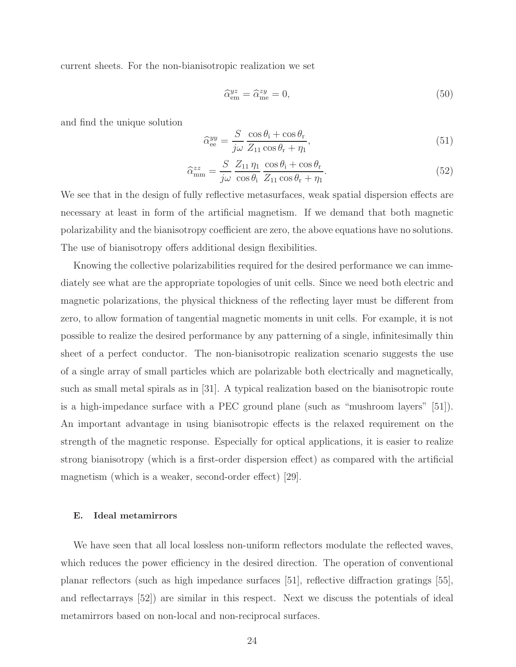current sheets. For the non-bianisotropic realization we set

$$
\hat{\alpha}_{em}^{yz} = \hat{\alpha}_{me}^{zy} = 0,\tag{50}
$$

and find the unique solution

$$
\widehat{\alpha}_{ee}^{yy} = \frac{S}{j\omega} \frac{\cos \theta_i + \cos \theta_r}{Z_{11} \cos \theta_r + \eta_1},\tag{51}
$$

$$
\widehat{\alpha}_{\text{mm}}^{zz} = \frac{S}{j\omega} \frac{Z_{11} \eta_1}{\cos \theta_i} \frac{\cos \theta_i + \cos \theta_r}{Z_{11} \cos \theta_r + \eta_1}.
$$
\n(52)

We see that in the design of fully reflective metasurfaces, weak spatial dispersion effects are necessary at least in form of the artificial magnetism. If we demand that both magnetic polarizability and the bianisotropy coefficient are zero, the above equations have no solutions. The use of bianisotropy offers additional design flexibilities.

Knowing the collective polarizabilities required for the desired performance we can immediately see what are the appropriate topologies of unit cells. Since we need both electric and magnetic polarizations, the physical thickness of the reflecting layer must be different from zero, to allow formation of tangential magnetic moments in unit cells. For example, it is not possible to realize the desired performance by any patterning of a single, infinitesimally thin sheet of a perfect conductor. The non-bianisotropic realization scenario suggests the use of a single array of small particles which are polarizable both electrically and magnetically, such as small metal spirals as in [31]. A typical realization based on the bianisotropic route is a high-impedance surface with a PEC ground plane (such as "mushroom layers" [51]). An important advantage in using bianisotropic effects is the relaxed requirement on the strength of the magnetic response. Especially for optical applications, it is easier to realize strong bianisotropy (which is a first-order dispersion effect) as compared with the artificial magnetism (which is a weaker, second-order effect) [29].

### E. Ideal metamirrors

We have seen that all local lossless non-uniform reflectors modulate the reflected waves, which reduces the power efficiency in the desired direction. The operation of conventional planar reflectors (such as high impedance surfaces [51], reflective diffraction gratings [55], and reflectarrays [52]) are similar in this respect. Next we discuss the potentials of ideal metamirrors based on non-local and non-reciprocal surfaces.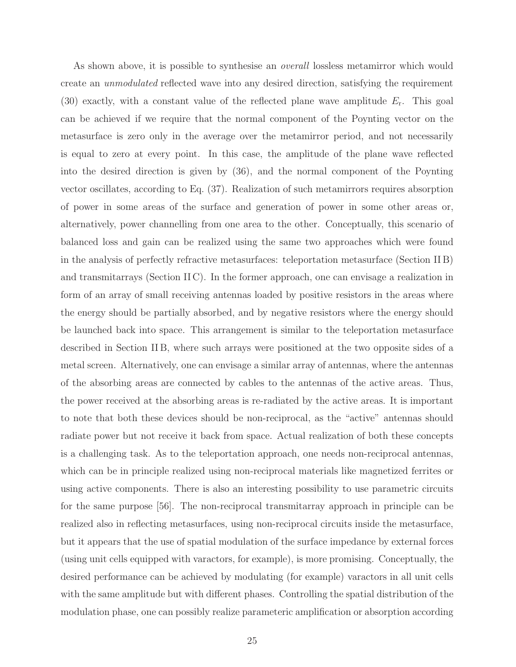As shown above, it is possible to synthesise an *overall* lossless metamirror which would create an unmodulated reflected wave into any desired direction, satisfying the requirement (30) exactly, with a constant value of the reflected plane wave amplitude  $E_r$ . This goal can be achieved if we require that the normal component of the Poynting vector on the metasurface is zero only in the average over the metamirror period, and not necessarily is equal to zero at every point. In this case, the amplitude of the plane wave reflected into the desired direction is given by (36), and the normal component of the Poynting vector oscillates, according to Eq. (37). Realization of such metamirrors requires absorption of power in some areas of the surface and generation of power in some other areas or, alternatively, power channelling from one area to the other. Conceptually, this scenario of balanced loss and gain can be realized using the same two approaches which were found in the analysis of perfectly refractive metasurfaces: teleportation metasurface (Section II B) and transmitarrays (Section II C). In the former approach, one can envisage a realization in form of an array of small receiving antennas loaded by positive resistors in the areas where the energy should be partially absorbed, and by negative resistors where the energy should be launched back into space. This arrangement is similar to the teleportation metasurface described in Section II B, where such arrays were positioned at the two opposite sides of a metal screen. Alternatively, one can envisage a similar array of antennas, where the antennas of the absorbing areas are connected by cables to the antennas of the active areas. Thus, the power received at the absorbing areas is re-radiated by the active areas. It is important to note that both these devices should be non-reciprocal, as the "active" antennas should radiate power but not receive it back from space. Actual realization of both these concepts is a challenging task. As to the teleportation approach, one needs non-reciprocal antennas, which can be in principle realized using non-reciprocal materials like magnetized ferrites or using active components. There is also an interesting possibility to use parametric circuits for the same purpose [56]. The non-reciprocal transmitarray approach in principle can be realized also in reflecting metasurfaces, using non-reciprocal circuits inside the metasurface, but it appears that the use of spatial modulation of the surface impedance by external forces (using unit cells equipped with varactors, for example), is more promising. Conceptually, the desired performance can be achieved by modulating (for example) varactors in all unit cells with the same amplitude but with different phases. Controlling the spatial distribution of the modulation phase, one can possibly realize parameteric amplification or absorption according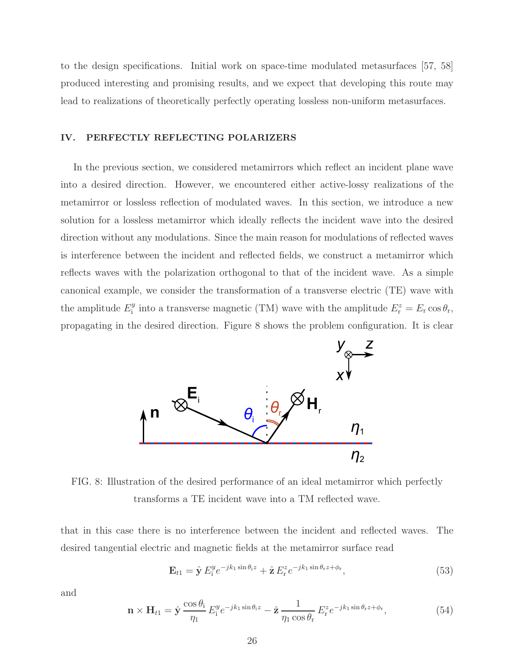to the design specifications. Initial work on space-time modulated metasurfaces [57, 58] produced interesting and promising results, and we expect that developing this route may lead to realizations of theoretically perfectly operating lossless non-uniform metasurfaces.

### IV. PERFECTLY REFLECTING POLARIZERS

In the previous section, we considered metamirrors which reflect an incident plane wave into a desired direction. However, we encountered either active-lossy realizations of the metamirror or lossless reflection of modulated waves. In this section, we introduce a new solution for a lossless metamirror which ideally reflects the incident wave into the desired direction without any modulations. Since the main reason for modulations of reflected waves is interference between the incident and reflected fields, we construct a metamirror which reflects waves with the polarization orthogonal to that of the incident wave. As a simple canonical example, we consider the transformation of a transverse electric (TE) wave with the amplitude  $E_i^y$ <sup>y</sup> into a transverse magnetic (TM) wave with the amplitude  $E_r^z = E_r \cos \theta_r$ , propagating in the desired direction. Figure 8 shows the problem configuration. It is clear



FIG. 8: Illustration of the desired performance of an ideal metamirror which perfectly transforms a TE incident wave into a TM reflected wave.

that in this case there is no interference between the incident and reflected waves. The desired tangential electric and magnetic fields at the metamirror surface read

$$
\mathbf{E}_{t1} = \hat{\mathbf{y}} E_i^y e^{-jk_1 \sin \theta_i z} + \hat{\mathbf{z}} E_r^z e^{-jk_1 \sin \theta_r z + \phi_r}, \tag{53}
$$

and

$$
\mathbf{n} \times \mathbf{H}_{t1} = \hat{\mathbf{y}} \frac{\cos \theta_i}{\eta_1} E_i^y e^{-jk_1 \sin \theta_i z} - \hat{\mathbf{z}} \frac{1}{\eta_1 \cos \theta_r} E_r^z e^{-jk_1 \sin \theta_r z + \phi_r},\tag{54}
$$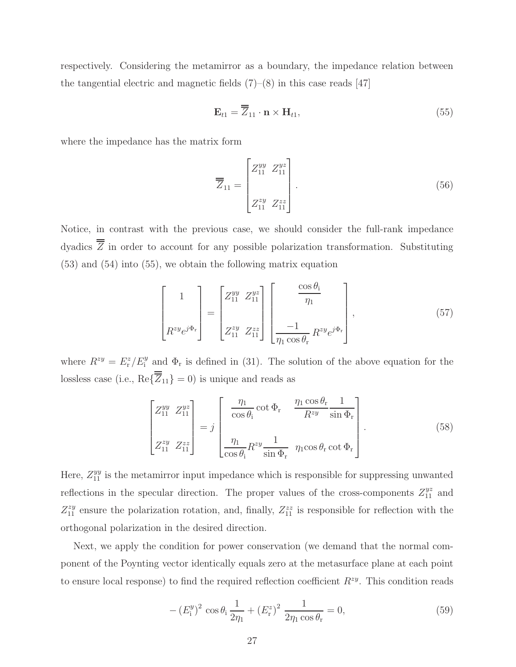respectively. Considering the metamirror as a boundary, the impedance relation between the tangential electric and magnetic fields  $(7)-(8)$  in this case reads [47]

$$
\mathbf{E}_{t1} = \overline{\overline{Z}}_{11} \cdot \mathbf{n} \times \mathbf{H}_{t1},\tag{55}
$$

where the impedance has the matrix form

$$
\overline{Z}_{11} = \begin{bmatrix} Z_{11}^{yy} & Z_{11}^{yz} \\ & & \\ Z_{11}^{zy} & Z_{11}^{zz} \end{bmatrix} . \tag{56}
$$

Notice, in contrast with the previous case, we should consider the full-rank impedance dyadics  $\overline{\overline{Z}}$  in order to account for any possible polarization transformation. Substituting (53) and (54) into (55), we obtain the following matrix equation

$$
\begin{bmatrix} 1 \\ R^{zy}e^{j\Phi_{\rm r}} \end{bmatrix} = \begin{bmatrix} Z_{11}^{yy} & Z_{11}^{yz} \\ Z_{11}^{zy} & Z_{11}^{zz} \end{bmatrix} \begin{bmatrix} \frac{\cos \theta_{\rm i}}{\eta_{1}} \\ -1 \\ \frac{-1}{\eta_{1} \cos \theta_{\rm r}} R^{zy} e^{j\Phi_{\rm r}} \end{bmatrix},
$$
(57)

where  $R^{zy} = E_r^z / E_i^y$  and  $\Phi_r$  is defined in (31). The solution of the above equation for the lossless case (i.e.,  $\text{Re}\{\overline{Z}_{11}\}=0$ ) is unique and reads as

$$
\begin{bmatrix} Z_{11}^{yy} & Z_{11}^{yz} \\ Z_{11}^{zy} & Z_{11}^{zz} \end{bmatrix} = j \begin{bmatrix} \frac{\eta_1}{\cos \theta_1} \cot \Phi_r & \frac{\eta_1 \cos \theta_r}{R^{zy}} \frac{1}{\sin \Phi_r} \\ \frac{\eta_1}{\cos \theta_1} R^{zy} \frac{1}{\sin \Phi_r} & \eta_1 \cos \theta_r \cot \Phi_r \end{bmatrix} .
$$
 (58)

Here,  $Z_{11}^{yy}$  is the metamirror input impedance which is responsible for suppressing unwanted reflections in the specular direction. The proper values of the cross-components  $Z_{11}^{yz}$  and  $Z_{11}^{zy}$  ensure the polarization rotation, and, finally,  $Z_{11}^{zz}$  is responsible for reflection with the orthogonal polarization in the desired direction.

Next, we apply the condition for power conservation (we demand that the normal component of the Poynting vector identically equals zero at the metasurface plane at each point to ensure local response) to find the required reflection coefficient  $R^{zy}$ . This condition reads

$$
-(E_i^y)^2 \cos \theta_i \frac{1}{2\eta_1} + (E_r^z)^2 \frac{1}{2\eta_1 \cos \theta_r} = 0,
$$
\n(59)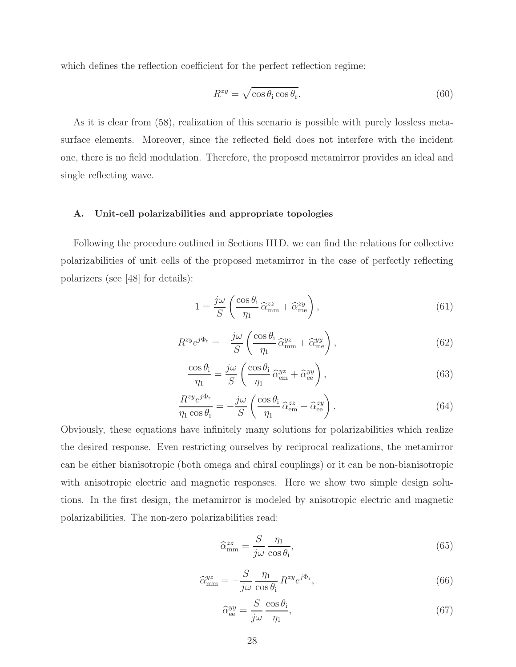which defines the reflection coefficient for the perfect reflection regime:

$$
R^{zy} = \sqrt{\cos \theta_i \cos \theta_r}.
$$
\n(60)

As it is clear from (58), realization of this scenario is possible with purely lossless metasurface elements. Moreover, since the reflected field does not interfere with the incident one, there is no field modulation. Therefore, the proposed metamirror provides an ideal and single reflecting wave.

### A. Unit-cell polarizabilities and appropriate topologies

Following the procedure outlined in Sections III D, we can find the relations for collective polarizabilities of unit cells of the proposed metamirror in the case of perfectly reflecting polarizers (see [48] for details):

$$
1 = \frac{j\omega}{S} \left( \frac{\cos \theta_{\rm i}}{\eta_1} \hat{\alpha}_{\rm mm}^{zz} + \hat{\alpha}_{\rm me}^{zy} \right),\tag{61}
$$

$$
R^{zy}e^{j\Phi_{\rm r}} = -\frac{j\omega}{S} \left( \frac{\cos \theta_{\rm i}}{\eta_1} \hat{\alpha}_{\rm mm}^{yz} + \hat{\alpha}_{\rm me}^{yy} \right),\tag{62}
$$

$$
\frac{\cos \theta_{\rm i}}{\eta_1} = \frac{j\omega}{S} \left( \frac{\cos \theta_{\rm i}}{\eta_1} \hat{\alpha}_{\rm em}^{yz} + \hat{\alpha}_{\rm ee}^{yy} \right),\tag{63}
$$

$$
\frac{R^{zy}e^{j\Phi_{\rm r}}}{\eta_1\cos\theta_{\rm r}} = -\frac{j\omega}{S} \left(\frac{\cos\theta_{\rm i}}{\eta_1}\hat{\alpha}_{\rm em}^{zz} + \hat{\alpha}_{\rm ee}^{zy}\right). \tag{64}
$$

Obviously, these equations have infinitely many solutions for polarizabilities which realize the desired response. Even restricting ourselves by reciprocal realizations, the metamirror can be either bianisotropic (both omega and chiral couplings) or it can be non-bianisotropic with anisotropic electric and magnetic responses. Here we show two simple design solutions. In the first design, the metamirror is modeled by anisotropic electric and magnetic polarizabilities. The non-zero polarizabilities read:

$$
\widehat{\alpha}_{\text{mm}}^{zz} = \frac{S}{j\omega} \frac{\eta_1}{\cos \theta_1},\tag{65}
$$

$$
\hat{\alpha}_{\text{mm}}^{yz} = -\frac{S}{j\omega} \frac{\eta_1}{\cos \theta_1} R^{zy} e^{j\Phi_{\text{r}}},\tag{66}
$$

$$
\widehat{\alpha}_{\text{ee}}^{yy} = \frac{S}{j\omega} \frac{\cos \theta_i}{\eta_1},\tag{67}
$$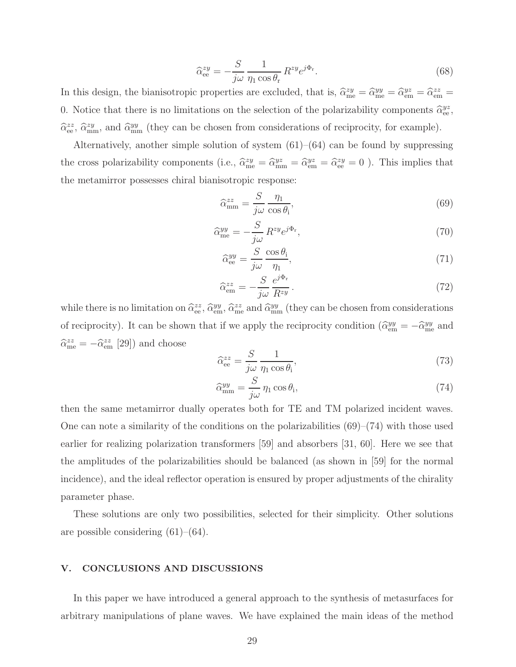$$
\hat{\alpha}_{ee}^{zy} = -\frac{S}{j\omega} \frac{1}{\eta_1 \cos \theta_r} R^{zy} e^{j\Phi_r}.
$$
\n(68)

In this design, the bianisotropic properties are excluded, that is,  $\hat{\alpha}_{me}^{zy} = \hat{\alpha}_{me}^{yy} = \hat{\alpha}_{em}^{yz} = \hat{\alpha}_{em}^{zz} =$ 0. Notice that there is no limitations on the selection of the polarizability components  $\hat{\alpha}_{ee}^{yz}$ ,  $\hat{\alpha}_{ee}^{zz}$ ,  $\hat{\alpha}_{mm}^{zy}$ , and  $\hat{\alpha}_{mm}^{yy}$  (they can be chosen from considerations of reciprocity, for example).

Alternatively, another simple solution of system  $(61)$ – $(64)$  can be found by suppressing the cross polarizability components (i.e.,  $\hat{\alpha}_{me}^{zy} = \hat{\alpha}_{em}^{yz} = \hat{\alpha}_{em}^{zy} = \hat{\alpha}_{ee}^{zy} = 0$ ). This implies that the metamirror possesses chiral bianisotropic response:

$$
\widehat{\alpha}_{\text{mm}}^{zz} = \frac{S}{j\omega} \frac{\eta_1}{\cos \theta_1},\tag{69}
$$

$$
\hat{\alpha}_{\text{me}}^{yy} = -\frac{S}{j\omega} R^{zy} e^{j\Phi_{\text{r}}},\tag{70}
$$

$$
\hat{\alpha}_{\text{ee}}^{yy} = \frac{S}{j\omega} \frac{\cos \theta_i}{\eta_1},\tag{71}
$$

$$
\widehat{\alpha}_{em}^{zz} = -\frac{S}{j\omega} \frac{e^{j\Phi_{\rm r}}}{R^{zy}}.
$$
\n(72)

while there is no limitation on  $\hat{\alpha}_{ee}^{zz}$ ,  $\hat{\alpha}_{em}^{yy}$ ,  $\hat{\alpha}_{me}^{zz}$  and  $\hat{\alpha}_{mm}^{yy}$  (they can be chosen from considerations of reciprocity). It can be shown that if we apply the reciprocity condition  $(\hat{\alpha}_{em}^{yy} = -\hat{\alpha}_{me}^{yy})$  and  $\hat{\alpha}_{\text{me}}^{zz} = -\hat{\alpha}_{\text{em}}^{zz}$  [29]) and choose

$$
\hat{\alpha}_{ee}^{zz} = \frac{S}{j\omega} \frac{1}{\eta_1 \cos \theta_i},\tag{73}
$$

$$
\hat{\alpha}_{\text{mm}}^{yy} = \frac{S}{j\omega} \eta_1 \cos \theta_i,\tag{74}
$$

then the same metamirror dually operates both for TE and TM polarized incident waves. One can note a similarity of the conditions on the polarizabilities  $(69)–(74)$  with those used earlier for realizing polarization transformers [59] and absorbers [31, 60]. Here we see that the amplitudes of the polarizabilities should be balanced (as shown in [59] for the normal incidence), and the ideal reflector operation is ensured by proper adjustments of the chirality parameter phase.

These solutions are only two possibilities, selected for their simplicity. Other solutions are possible considering  $(61)$ – $(64)$ .

### V. CONCLUSIONS AND DISCUSSIONS

In this paper we have introduced a general approach to the synthesis of metasurfaces for arbitrary manipulations of plane waves. We have explained the main ideas of the method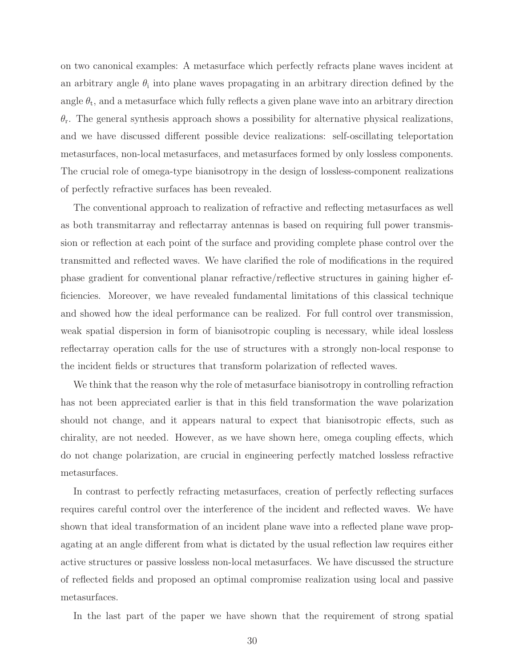on two canonical examples: A metasurface which perfectly refracts plane waves incident at an arbitrary angle  $\theta_i$  into plane waves propagating in an arbitrary direction defined by the angle  $\theta_t$ , and a metasurface which fully reflects a given plane wave into an arbitrary direction  $\theta_{\rm r}$ . The general synthesis approach shows a possibility for alternative physical realizations, and we have discussed different possible device realizations: self-oscillating teleportation metasurfaces, non-local metasurfaces, and metasurfaces formed by only lossless components. The crucial role of omega-type bianisotropy in the design of lossless-component realizations of perfectly refractive surfaces has been revealed.

The conventional approach to realization of refractive and reflecting metasurfaces as well as both transmitarray and reflectarray antennas is based on requiring full power transmission or reflection at each point of the surface and providing complete phase control over the transmitted and reflected waves. We have clarified the role of modifications in the required phase gradient for conventional planar refractive/reflective structures in gaining higher efficiencies. Moreover, we have revealed fundamental limitations of this classical technique and showed how the ideal performance can be realized. For full control over transmission, weak spatial dispersion in form of bianisotropic coupling is necessary, while ideal lossless reflectarray operation calls for the use of structures with a strongly non-local response to the incident fields or structures that transform polarization of reflected waves.

We think that the reason why the role of metasurface bianisotropy in controlling refraction has not been appreciated earlier is that in this field transformation the wave polarization should not change, and it appears natural to expect that bianisotropic effects, such as chirality, are not needed. However, as we have shown here, omega coupling effects, which do not change polarization, are crucial in engineering perfectly matched lossless refractive metasurfaces.

In contrast to perfectly refracting metasurfaces, creation of perfectly reflecting surfaces requires careful control over the interference of the incident and reflected waves. We have shown that ideal transformation of an incident plane wave into a reflected plane wave propagating at an angle different from what is dictated by the usual reflection law requires either active structures or passive lossless non-local metasurfaces. We have discussed the structure of reflected fields and proposed an optimal compromise realization using local and passive metasurfaces.

In the last part of the paper we have shown that the requirement of strong spatial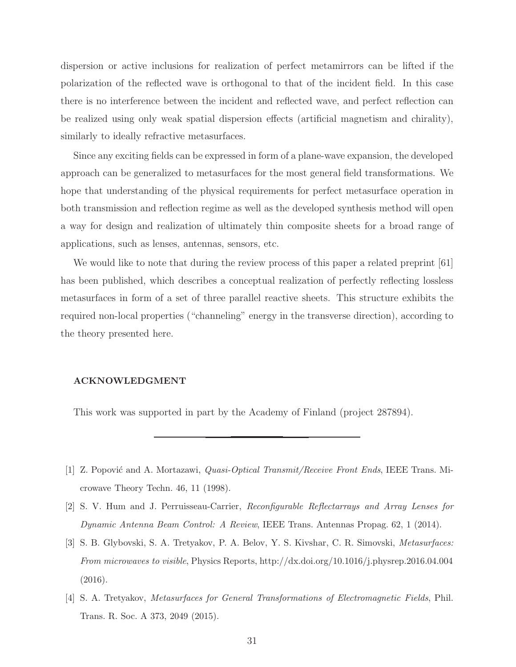dispersion or active inclusions for realization of perfect metamirrors can be lifted if the polarization of the reflected wave is orthogonal to that of the incident field. In this case there is no interference between the incident and reflected wave, and perfect reflection can be realized using only weak spatial dispersion effects (artificial magnetism and chirality), similarly to ideally refractive metasurfaces.

Since any exciting fields can be expressed in form of a plane-wave expansion, the developed approach can be generalized to metasurfaces for the most general field transformations. We hope that understanding of the physical requirements for perfect metasurface operation in both transmission and reflection regime as well as the developed synthesis method will open a way for design and realization of ultimately thin composite sheets for a broad range of applications, such as lenses, antennas, sensors, etc.

We would like to note that during the review process of this paper a related preprint [61] has been published, which describes a conceptual realization of perfectly reflecting lossless metasurfaces in form of a set of three parallel reactive sheets. This structure exhibits the required non-local properties ("channeling" energy in the transverse direction), according to the theory presented here.

### ACKNOWLEDGMENT

This work was supported in part by the Academy of Finland (project 287894).

- [1] Z. Popović and A. Mortazawi, *Quasi-Optical Transmit/Receive Front Ends*, IEEE Trans. Microwave Theory Techn. 46, 11 (1998).
- [2] S. V. Hum and J. Perruisseau-Carrier, Reconfigurable Reflectarrays and Array Lenses for Dynamic Antenna Beam Control: A Review, IEEE Trans. Antennas Propag. 62, 1 (2014).
- [3] S. B. Glybovski, S. A. Tretyakov, P. A. Belov, Y. S. Kivshar, C. R. Simovski, Metasurfaces: From microwaves to visible, Physics Reports, http://dx.doi.org/10.1016/j.physrep.2016.04.004 (2016).
- [4] S. A. Tretyakov, Metasurfaces for General Transformations of Electromagnetic Fields, Phil. Trans. R. Soc. A 373, 2049 (2015).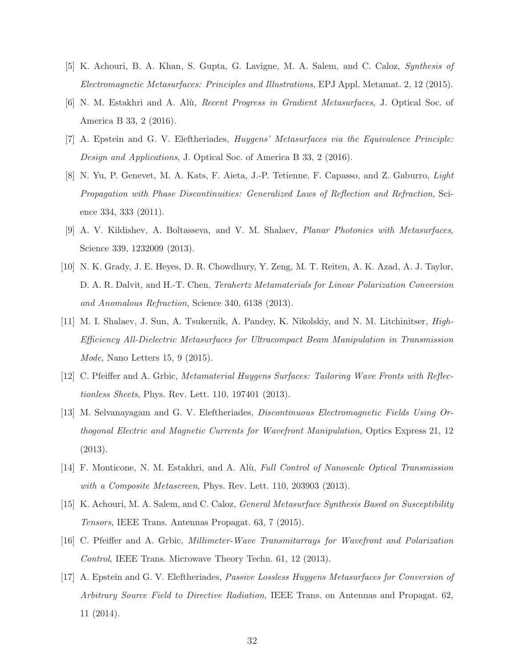- [5] K. Achouri, B. A. Khan, S. Gupta, G. Lavigne, M. A. Salem, and C. Caloz, Synthesis of Electromagnetic Metasurfaces: Principles and Illustrations, EPJ Appl. Metamat. 2, 12 (2015).
- [6] N. M. Estakhri and A. Al`u, Recent Progress in Gradient Metasurfaces, J. Optical Soc. of America B 33, 2 (2016).
- [7] A. Epstein and G. V. Eleftheriades, Huygens' Metasurfaces via the Equivalence Principle: Design and Applications, J. Optical Soc. of America B 33, 2 (2016).
- [8] N. Yu, P. Genevet, M. A. Kats, F. Aieta, J.-P. Tetienne, F. Capasso, and Z. Gaburro, Light Propagation with Phase Discontinuities: Generalized Laws of Reflection and Refraction, Science 334, 333 (2011).
- [9] A. V. Kildishev, A. Boltasseva, and V. M. Shalaev, Planar Photonics with Metasurfaces, Science 339, 1232009 (2013).
- [10] N. K. Grady, J. E. Heyes, D. R. Chowdhury, Y. Zeng, M. T. Reiten, A. K. Azad, A. J. Taylor, D. A. R. Dalvit, and H.-T. Chen, Terahertz Metamaterials for Linear Polarization Conversion and Anomalous Refraction, Science 340, 6138 (2013).
- [11] M. I. Shalaev, J. Sun, A. Tsukernik, A. Pandey, K. Nikolskiy, and N. M. Litchinitser, High-Efficiency All-Dielectric Metasurfaces for Ultracompact Beam Manipulation in Transmission Mode, Nano Letters 15, 9 (2015).
- [12] C. Pfeiffer and A. Grbic, Metamaterial Huygens Surfaces: Tailoring Wave Fronts with Reflectionless Sheets, Phys. Rev. Lett. 110, 197401 (2013).
- [13] M. Selvanayagam and G. V. Eleftheriades, Discontinuous Electromagnetic Fields Using Orthogonal Electric and Magnetic Currents for Wavefront Manipulation, Optics Express 21, 12 (2013).
- [14] F. Monticone, N. M. Estakhri, and A. Alù, Full Control of Nanoscale Optical Transmission with a Composite Metascreen, Phys. Rev. Lett. 110, 203903 (2013).
- [15] K. Achouri, M. A. Salem, and C. Caloz, General Metasurface Synthesis Based on Susceptibility Tensors, IEEE Trans. Antennas Propagat. 63, 7 (2015).
- [16] C. Pfeiffer and A. Grbic, Millimeter-Wave Transmitarrays for Wavefront and Polarization Control, IEEE Trans. Microwave Theory Techn. 61, 12 (2013).
- [17] A. Epstein and G. V. Eleftheriades, Passive Lossless Huygens Metasurfaces for Conversion of Arbitrary Source Field to Directive Radiation, IEEE Trans. on Antennas and Propagat. 62, 11 (2014).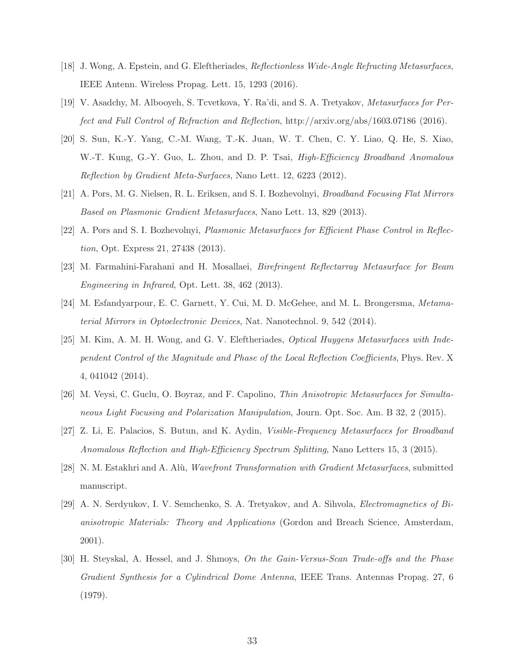- [18] J. Wong, A. Epstein, and G. Eleftheriades, Reflectionless Wide-Angle Refracting Metasurfaces, IEEE Antenn. Wireless Propag. Lett. 15, 1293 (2016).
- [19] V. Asadchy, M. Albooyeh, S. Tcvetkova, Y. Ra'di, and S. A. Tretyakov, Metasurfaces for Perfect and Full Control of Refraction and Reflection, http://arxiv.org/abs/1603.07186 (2016).
- [20] S. Sun, K.-Y. Yang, C.-M. Wang, T.-K. Juan, W. T. Chen, C. Y. Liao, Q. He, S. Xiao, W.-T. Kung, G.-Y. Guo, L. Zhou, and D. P. Tsai, *High-Efficiency Broadband Anomalous* Reflection by Gradient Meta-Surfaces, Nano Lett. 12, 6223 (2012).
- [21] A. Pors, M. G. Nielsen, R. L. Eriksen, and S. I. Bozhevolnyi, Broadband Focusing Flat Mirrors Based on Plasmonic Gradient Metasurfaces, Nano Lett. 13, 829 (2013).
- [22] A. Pors and S. I. Bozhevolnyi, Plasmonic Metasurfaces for Efficient Phase Control in Reflection, Opt. Express 21, 27438 (2013).
- [23] M. Farmahini-Farahani and H. Mosallaei, Birefringent Reflectarray Metasurface for Beam Engineering in Infrared, Opt. Lett. 38, 462 (2013).
- [24] M. Esfandyarpour, E. C. Garnett, Y. Cui, M. D. McGehee, and M. L. Brongersma, Metamaterial Mirrors in Optoelectronic Devices, Nat. Nanotechnol. 9, 542 (2014).
- [25] M. Kim, A. M. H. Wong, and G. V. Eleftheriades, Optical Huygens Metasurfaces with Independent Control of the Magnitude and Phase of the Local Reflection Coefficients, Phys. Rev. X 4, 041042 (2014).
- [26] M. Veysi, C. Guclu, O. Boyraz, and F. Capolino, Thin Anisotropic Metasurfaces for Simultaneous Light Focusing and Polarization Manipulation, Journ. Opt. Soc. Am. B 32, 2 (2015).
- [27] Z. Li, E. Palacios, S. Butun, and K. Aydin, Visible-Frequency Metasurfaces for Broadband Anomalous Reflection and High-Efficiency Spectrum Splitting, Nano Letters 15, 3 (2015).
- [28] N. M. Estakhri and A. Alù, Wavefront Transformation with Gradient Metasurfaces, submitted manuscript.
- [29] A. N. Serdyukov, I. V. Semchenko, S. A. Tretyakov, and A. Sihvola, Electromagnetics of Bianisotropic Materials: Theory and Applications (Gordon and Breach Science, Amsterdam, 2001).
- [30] H. Steyskal, A. Hessel, and J. Shmoys, On the Gain-Versus-Scan Trade-offs and the Phase Gradient Synthesis for a Cylindrical Dome Antenna, IEEE Trans. Antennas Propag. 27, 6 (1979).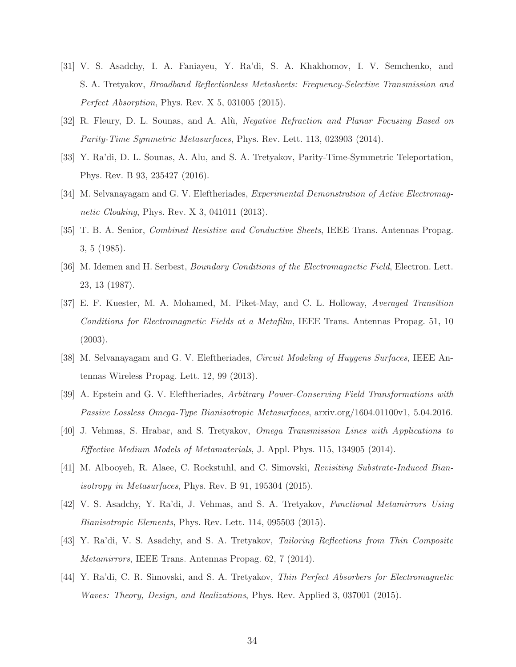- [31] V. S. Asadchy, I. A. Faniayeu, Y. Ra'di, S. A. Khakhomov, I. V. Semchenko, and S. A. Tretyakov, Broadband Reflectionless Metasheets: Frequency-Selective Transmission and Perfect Absorption, Phys. Rev. X 5, 031005 (2015).
- [32] R. Fleury, D. L. Sounas, and A. Alù, Negative Refraction and Planar Focusing Based on Parity-Time Symmetric Metasurfaces, Phys. Rev. Lett. 113, 023903 (2014).
- [33] Y. Ra'di, D. L. Sounas, A. Alu, and S. A. Tretyakov, Parity-Time-Symmetric Teleportation, Phys. Rev. B 93, 235427 (2016).
- [34] M. Selvanayagam and G. V. Eleftheriades, *Experimental Demonstration of Active Electromag*netic Cloaking, Phys. Rev. X 3, 041011 (2013).
- [35] T. B. A. Senior, Combined Resistive and Conductive Sheets, IEEE Trans. Antennas Propag. 3, 5 (1985).
- [36] M. Idemen and H. Serbest, *Boundary Conditions of the Electromagnetic Field*, Electron. Lett. 23, 13 (1987).
- [37] E. F. Kuester, M. A. Mohamed, M. Piket-May, and C. L. Holloway, Averaged Transition Conditions for Electromagnetic Fields at a Metafilm, IEEE Trans. Antennas Propag. 51, 10 (2003).
- [38] M. Selvanayagam and G. V. Eleftheriades, Circuit Modeling of Huygens Surfaces, IEEE Antennas Wireless Propag. Lett. 12, 99 (2013).
- [39] A. Epstein and G. V. Eleftheriades, Arbitrary Power-Conserving Field Transformations with Passive Lossless Omega-Type Bianisotropic Metasurfaces, arxiv.org/1604.01100v1, 5.04.2016.
- [40] J. Vehmas, S. Hrabar, and S. Tretyakov, Omega Transmission Lines with Applications to Effective Medium Models of Metamaterials, J. Appl. Phys. 115, 134905 (2014).
- [41] M. Albooyeh, R. Alaee, C. Rockstuhl, and C. Simovski, Revisiting Substrate-Induced Bianisotropy in Metasurfaces, Phys. Rev. B 91, 195304 (2015).
- [42] V. S. Asadchy, Y. Ra'di, J. Vehmas, and S. A. Tretyakov, Functional Metamirrors Using Bianisotropic Elements, Phys. Rev. Lett. 114, 095503 (2015).
- [43] Y. Ra'di, V. S. Asadchy, and S. A. Tretyakov, Tailoring Reflections from Thin Composite Metamirrors, IEEE Trans. Antennas Propag. 62, 7 (2014).
- [44] Y. Ra'di, C. R. Simovski, and S. A. Tretyakov, Thin Perfect Absorbers for Electromagnetic Waves: Theory, Design, and Realizations, Phys. Rev. Applied 3, 037001 (2015).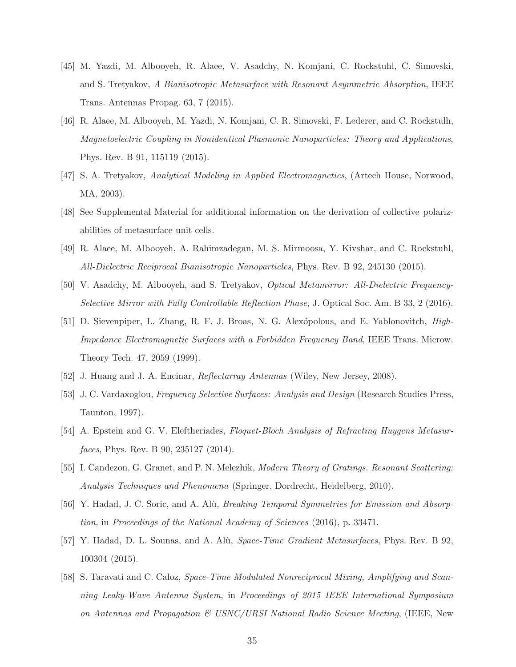- [45] M. Yazdi, M. Albooyeh, R. Alaee, V. Asadchy, N. Komjani, C. Rockstuhl, C. Simovski, and S. Tretyakov, A Bianisotropic Metasurface with Resonant Asymmetric Absorption, IEEE Trans. Antennas Propag. 63, 7 (2015).
- [46] R. Alaee, M. Albooyeh, M. Yazdi, N. Komjani, C. R. Simovski, F. Lederer, and C. Rockstulh, Magnetoelectric Coupling in Nonidentical Plasmonic Nanoparticles: Theory and Applications, Phys. Rev. B 91, 115119 (2015).
- [47] S. A. Tretyakov, Analytical Modeling in Applied Electromagnetics, (Artech House, Norwood, MA, 2003).
- [48] See Supplemental Material for additional information on the derivation of collective polarizabilities of metasurface unit cells.
- [49] R. Alaee, M. Albooyeh, A. Rahimzadegan, M. S. Mirmoosa, Y. Kivshar, and C. Rockstuhl, All-Dielectric Reciprocal Bianisotropic Nanoparticles, Phys. Rev. B 92, 245130 (2015).
- [50] V. Asadchy, M. Albooyeh, and S. Tretyakov, Optical Metamirror: All-Dielectric Frequency-Selective Mirror with Fully Controllable Reflection Phase, J. Optical Soc. Am. B 33, 2 (2016).
- [51] D. Sievenpiper, L. Zhang, R. F. J. Broas, N. G. Alexópolous, and E. Yablonovitch, *High*-Impedance Electromagnetic Surfaces with a Forbidden Frequency Band, IEEE Trans. Microw. Theory Tech. 47, 2059 (1999).
- [52] J. Huang and J. A. Encinar, Reflectarray Antennas (Wiley, New Jersey, 2008).
- [53] J. C. Vardaxoglou, Frequency Selective Surfaces: Analysis and Design (Research Studies Press, Taunton, 1997).
- [54] A. Epstein and G. V. Eleftheriades, Floquet-Bloch Analysis of Refracting Huygens Metasurfaces, Phys. Rev. B 90, 235127 (2014).
- [55] I. Candezon, G. Granet, and P. N. Melezhik, Modern Theory of Gratings. Resonant Scattering: Analysis Techniques and Phenomena (Springer, Dordrecht, Heidelberg, 2010).
- [56] Y. Hadad, J. C. Soric, and A. Alù, *Breaking Temporal Symmetries for Emission and Absorp*tion, in Proceedings of the National Academy of Sciences (2016), p. 33471.
- [57] Y. Hadad, D. L. Sounas, and A. Alù, Space-Time Gradient Metasurfaces, Phys. Rev. B 92, 100304 (2015).
- [58] S. Taravati and C. Caloz, Space-Time Modulated Nonreciprocal Mixing, Amplifying and Scanning Leaky-Wave Antenna System, in Proceedings of 2015 IEEE International Symposium on Antennas and Propagation & USNC/URSI National Radio Science Meeting, (IEEE, New